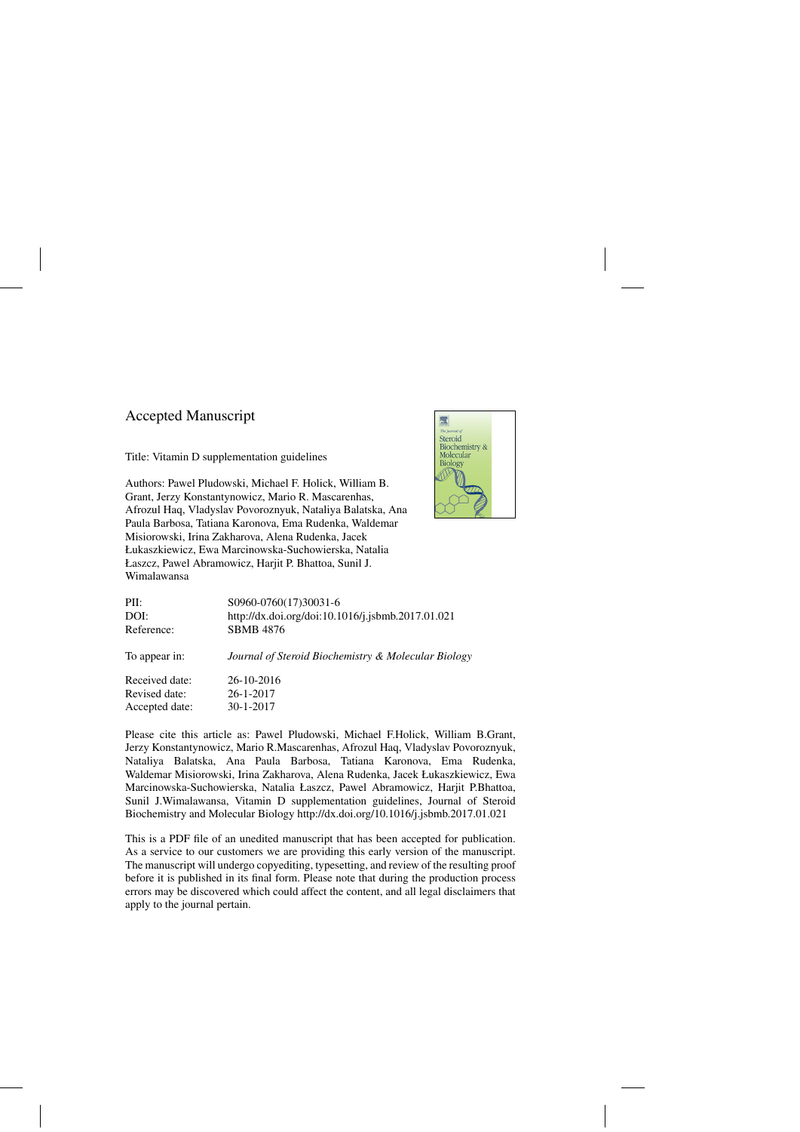### Accepted Manuscript

Title: Vitamin D supplementation guidelines

Authors: Pawel Pludowski, Michael F. Holick, William B. Grant, Jerzy Konstantynowicz, Mario R. Mascarenhas, Afrozul Haq, Vladyslav Povoroznyuk, Nataliya Balatska, Ana Paula Barbosa, Tatiana Karonova, Ema Rudenka, Waldemar Misiorowski, Irina Zakharova, Alena Rudenka, Jacek Łukaszkiewicz, Ewa Marcinowska-Suchowierska, Natalia Łaszcz, Pawel Abramowicz, Harjit P. Bhattoa, Sunil J. Wimalawansa



| PII:           | S0960-0760(17)30031-6                               |
|----------------|-----------------------------------------------------|
| DOI:           | http://dx.doi.org/doi:10.1016/j.jsbmb.2017.01.021   |
| Reference:     | <b>SBMB 4876</b>                                    |
| To appear in:  | Journal of Steroid Biochemistry & Molecular Biology |
| Received date: | 26-10-2016                                          |
| Revised date:  | $26 - 1 - 2017$                                     |
| Accepted date: | 30-1-2017                                           |

Please cite this article as: Pawel Pludowski, Michael F.Holick, William B.Grant, Jerzy Konstantynowicz, Mario R.Mascarenhas, Afrozul Haq, Vladyslav Povoroznyuk, Nataliya Balatska, Ana Paula Barbosa, Tatiana Karonova, Ema Rudenka, Waldemar Misiorowski, Irina Zakharova, Alena Rudenka, Jacek Łukaszkiewicz, Ewa Marcinowska-Suchowierska, Natalia Łaszcz, Pawel Abramowicz, Harjit P.Bhattoa, Sunil J.Wimalawansa, Vitamin D supplementation guidelines, Journal of Steroid Biochemistry and Molecular Biology<http://dx.doi.org/10.1016/j.jsbmb.2017.01.021>

This is a PDF file of an unedited manuscript that has been accepted for publication. As a service to our customers we are providing this early version of the manuscript. The manuscript will undergo copyediting, typesetting, and review of the resulting proof before it is published in its final form. Please note that during the production process errors may be discovered which could affect the content, and all legal disclaimers that apply to the journal pertain.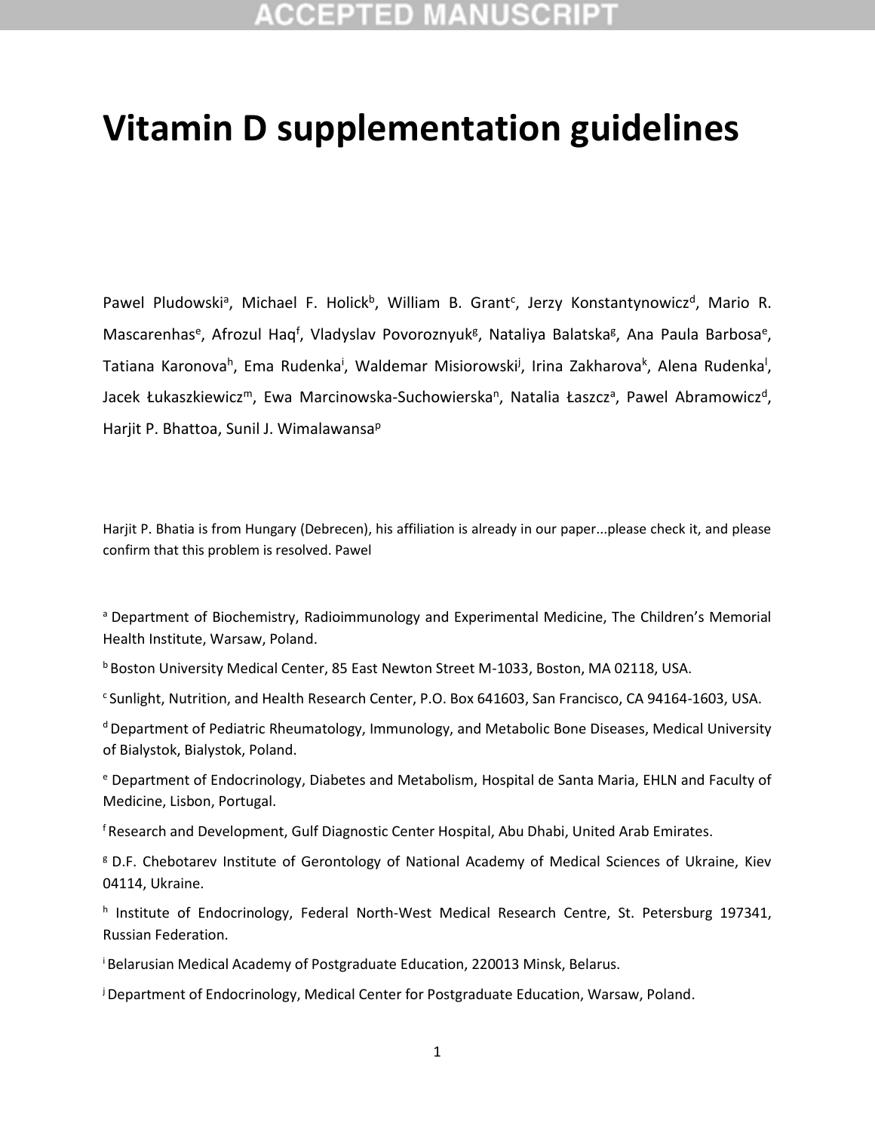### TED

# **Vitamin D supplementation guidelines**

Pawel Pludowski<sup>a</sup>, Michael F. Holick<sup>b</sup>, William B. Grant<sup>c</sup>, Jerzy Konstantynowicz<sup>d</sup>, Mario R. Mascarenhas<sup>e</sup>, Afrozul Haq<sup>f</sup>, Vladyslav Povoroznyuk<sup>g</sup>, Nataliya Balatska<sup>g</sup>, Ana Paula Barbosa<sup>e</sup>, Tatiana Karonova<sup>h</sup>, Ema Rudenka<sup>i</sup>, Waldemar Misiorowski<sup>j</sup>, Irina Zakharova<sup>k</sup>, Alena Rudenka<sup>l</sup>, Jacek Łukaszkiewicz<sup>m</sup>, Ewa Marcinowska-Suchowierska<sup>n</sup>, Natalia Łaszcz<sup>a</sup>, Pawel Abramowicz<sup>d</sup>, Harjit P. Bhattoa, Sunil J. Wimalawansa<sup>p</sup>

Harjit P. Bhatia is from Hungary (Debrecen), his affiliation is already in our paper...please check it, and please confirm that this problem is resolved. Pawel

<sup>a</sup> Department of Biochemistry, Radioimmunology and Experimental Medicine, The Children's Memorial Health Institute, Warsaw, Poland.

**b Boston University Medical Center, 85 East Newton Street M-1033, Boston, MA 02118, USA.** 

c Sunlight, Nutrition, and Health Research Center, P.O. Box 641603, San Francisco, CA 94164-1603, USA.

<sup>d</sup> Department of Pediatric Rheumatology, Immunology, and Metabolic Bone Diseases, Medical University of Bialystok, Bialystok, Poland.

<sup>e</sup> Department of Endocrinology, Diabetes and Metabolism, Hospital de Santa Maria, EHLN and Faculty of Medicine, Lisbon, Portugal.

<sup>f</sup> Research and Development, Gulf Diagnostic Center Hospital, Abu Dhabi, United Arab Emirates.

<sup>g</sup> D.F. Chebotarev Institute of Gerontology of National Academy of Medical Sciences of Ukraine, Kiev 04114, Ukraine.

h Institute of Endocrinology, Federal North-West Medical Research Centre, St. Petersburg 197341, Russian Federation.

<sup>i</sup> Belarusian Medical Academy of Postgraduate Education, 220013 Minsk, Belarus.

jDepartment of Endocrinology, Medical Center for Postgraduate Education, Warsaw, Poland.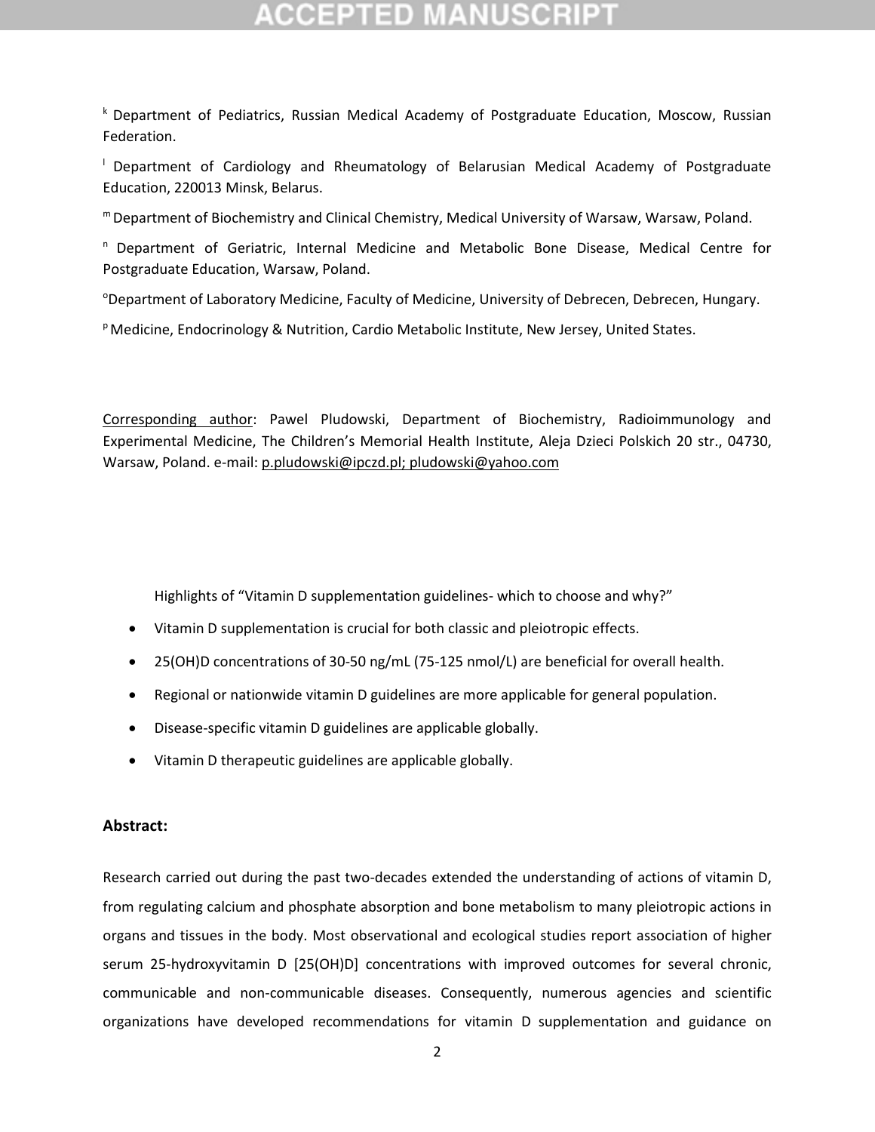<sup>k</sup> Department of Pediatrics, Russian Medical Academy of Postgraduate Education, Moscow, Russian Federation.

<sup>l</sup> Department of Cardiology and Rheumatology of Belarusian Medical Academy of Postgraduate Education, 220013 Minsk, Belarus.

<sup>m</sup> Department of Biochemistry and Clinical Chemistry, Medical University of Warsaw, Warsaw, Poland.

<sup>n</sup> Department of Geriatric, Internal Medicine and Metabolic Bone Disease, Medical Centre for Postgraduate Education, Warsaw, Poland.

<sup>o</sup>Department of Laboratory Medicine, Faculty of Medicine, University of Debrecen, Debrecen, Hungary.

<sup>p</sup> Medicine, Endocrinology & Nutrition, Cardio Metabolic Institute, New Jersey, United States.

Corresponding author: Pawel Pludowski, Department of Biochemistry, Radioimmunology and Experimental Medicine, The Children's Memorial Health Institute, Aleja Dzieci Polskich 20 str., 04730, Warsaw, Poland. e-mail: [p.pludowski@ipczd.pl;](mailto:p.pludowski@ipczd.pl) pludowski@yahoo.com

Highlights of "Vitamin D supplementation guidelines- which to choose and why?"

- Vitamin D supplementation is crucial for both classic and pleiotropic effects.
- 25(OH)D concentrations of 30-50 ng/mL (75-125 nmol/L) are beneficial for overall health.
- Regional or nationwide vitamin D guidelines are more applicable for general population.
- Disease-specific vitamin D guidelines are applicable globally.
- Vitamin D therapeutic guidelines are applicable globally.

#### **Abstract:**

Research carried out during the past two-decades extended the understanding of actions of vitamin D, from regulating calcium and phosphate absorption and bone metabolism to many pleiotropic actions in organs and tissues in the body. Most observational and ecological studies report association of higher serum 25-hydroxyvitamin D [25(OH)D] concentrations with improved outcomes for several chronic, communicable and non-communicable diseases. Consequently, numerous agencies and scientific organizations have developed recommendations for vitamin D supplementation and guidance on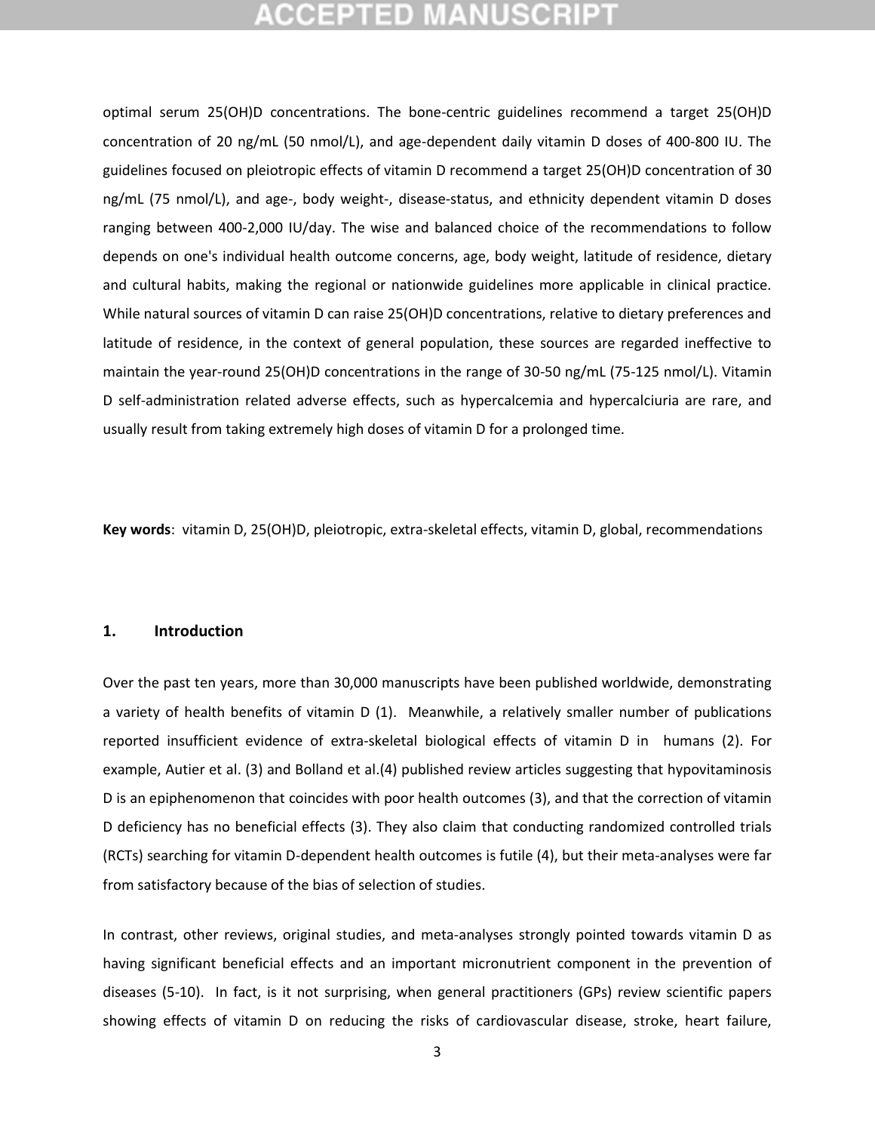optimal serum 25(OH)D concentrations. The bone-centric guidelines recommend a target 25(OH)D concentration of 20 ng/mL (50 nmol/L), and age-dependent daily vitamin D doses of 400-800 IU. The guidelines focused on pleiotropic effects of vitamin D recommend a target 25(OH)D concentration of 30 ng/mL (75 nmol/L), and age-, body weight-, disease-status, and ethnicity dependent vitamin D doses ranging between 400-2,000 IU/day. The wise and balanced choice of the recommendations to follow depends on one's individual health outcome concerns, age, body weight, latitude of residence, dietary and cultural habits, making the regional or nationwide guidelines more applicable in clinical practice. While natural sources of vitamin D can raise 25(OH)D concentrations, relative to dietary preferences and latitude of residence, in the context of general population, these sources are regarded ineffective to maintain the year-round 25(OH)D concentrations in the range of 30-50 ng/mL (75-125 nmol/L). Vitamin D self-administration related adverse effects, such as hypercalcemia and hypercalciuria are rare, and usually result from taking extremely high doses of vitamin D for a prolonged time.

**Key words**: vitamin D, 25(OH)D, pleiotropic, extra-skeletal effects, vitamin D, global, recommendations

#### **1. Introduction**

Over the past ten years, more than 30,000 manuscripts have been published worldwide, demonstrating a variety of health benefits of vitamin D (1). Meanwhile, a relatively smaller number of publications reported insufficient evidence of extra-skeletal biological effects of vitamin D in humans (2). For example, Autier et al. (3) and Bolland et al.(4) published review articles suggesting that hypovitaminosis D is an epiphenomenon that coincides with poor health outcomes (3), and that the correction of vitamin D deficiency has no beneficial effects (3). They also claim that conducting randomized controlled trials (RCTs) searching for vitamin D-dependent health outcomes is futile (4), but their meta-analyses were far from satisfactory because of the bias of selection of studies.

In contrast, other reviews, original studies, and meta-analyses strongly pointed towards vitamin D as having significant beneficial effects and an important micronutrient component in the prevention of diseases (5-10). In fact, is it not surprising, when general practitioners (GPs) review scientific papers showing effects of vitamin D on reducing the risks of cardiovascular disease, stroke, heart failure,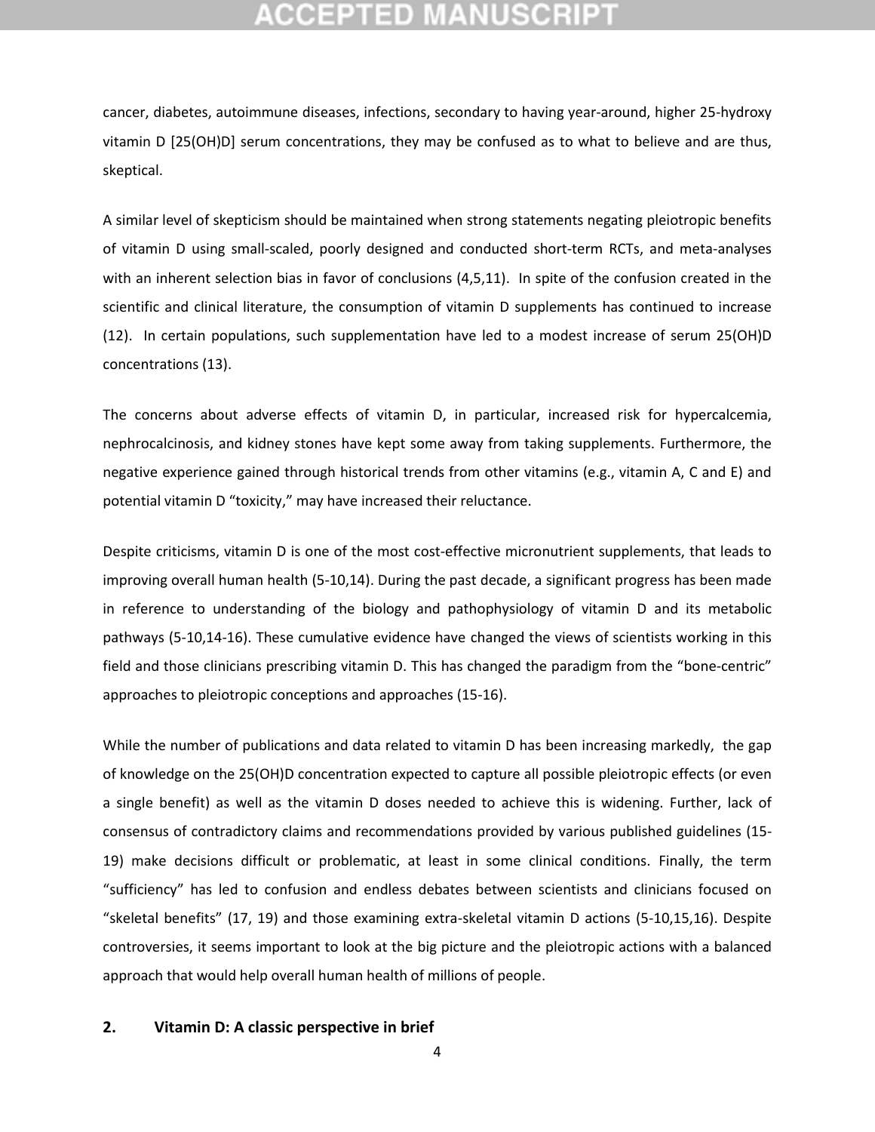cancer, diabetes, autoimmune diseases, infections, secondary to having year-around, higher 25-hydroxy vitamin D [25(OH)D] serum concentrations, they may be confused as to what to believe and are thus, skeptical.

A similar level of skepticism should be maintained when strong statements negating pleiotropic benefits of vitamin D using small-scaled, poorly designed and conducted short-term RCTs, and meta-analyses with an inherent selection bias in favor of conclusions (4,5,11). In spite of the confusion created in the scientific and clinical literature, the consumption of vitamin D supplements has continued to increase (12). In certain populations, such supplementation have led to a modest increase of serum 25(OH)D concentrations (13).

The concerns about adverse effects of vitamin D, in particular, increased risk for hypercalcemia, nephrocalcinosis, and kidney stones have kept some away from taking supplements. Furthermore, the negative experience gained through historical trends from other vitamins (e.g., vitamin A, C and E) and potential vitamin D "toxicity," may have increased their reluctance.

Despite criticisms, vitamin D is one of the most cost-effective micronutrient supplements, that leads to improving overall human health (5-10,14). During the past decade, a significant progress has been made in reference to understanding of the biology and pathophysiology of vitamin D and its metabolic pathways (5-10,14-16). These cumulative evidence have changed the views of scientists working in this field and those clinicians prescribing vitamin D. This has changed the paradigm from the "bone-centric" approaches to pleiotropic conceptions and approaches (15-16).

While the number of publications and data related to vitamin D has been increasing markedly, the gap of knowledge on the 25(OH)D concentration expected to capture all possible pleiotropic effects (or even a single benefit) as well as the vitamin D doses needed to achieve this is widening. Further, lack of consensus of contradictory claims and recommendations provided by various published guidelines (15- 19) make decisions difficult or problematic, at least in some clinical conditions. Finally, the term "sufficiency" has led to confusion and endless debates between scientists and clinicians focused on "skeletal benefits" (17, 19) and those examining extra-skeletal vitamin D actions (5-10,15,16). Despite controversies, it seems important to look at the big picture and the pleiotropic actions with a balanced approach that would help overall human health of millions of people.

#### **2. Vitamin D: A classic perspective in brief**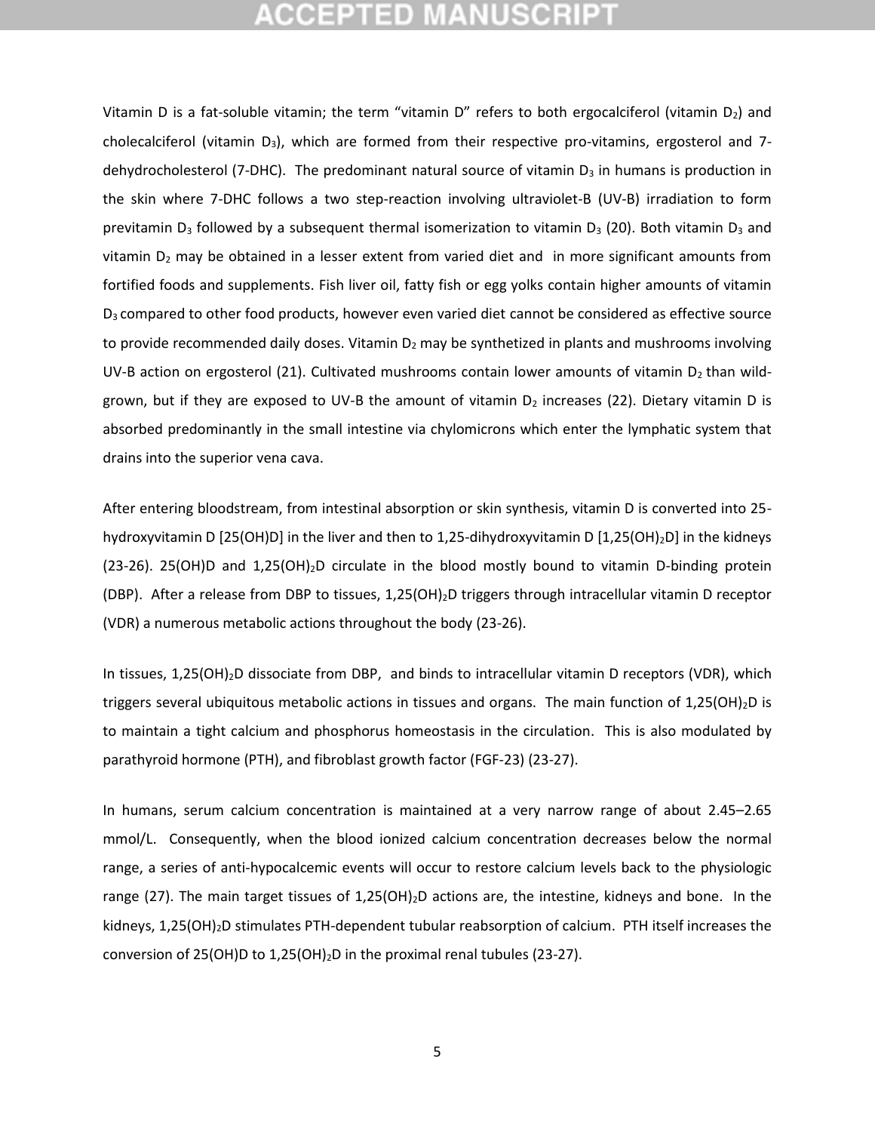Vitamin D is a fat-soluble vitamin; the term "vitamin D" refers to both ergocalciferol (vitamin  $D_2$ ) and cholecalciferol (vitamin  $D_3$ ), which are formed from their respective pro-vitamins, ergosterol and 7dehydrocholesterol (7-DHC). The predominant natural source of vitamin  $D_3$  in humans is production in the skin where 7-DHC follows a two step-reaction involving ultraviolet-B (UV-B) irradiation to form previtamin  $D_3$  followed by a subsequent thermal isomerization to vitamin  $D_3$  (20). Both vitamin  $D_3$  and vitamin  $D_2$  may be obtained in a lesser extent from varied diet and in more significant amounts from fortified foods and supplements. Fish liver oil, fatty fish or egg yolks contain higher amounts of vitamin D3 compared to other food products, however even varied diet cannot be considered as effective source to provide recommended daily doses. Vitamin  $D_2$  may be synthetized in plants and mushrooms involving UV-B action on ergosterol (21). Cultivated mushrooms contain lower amounts of vitamin  $D_2$  than wildgrown, but if they are exposed to UV-B the amount of vitamin  $D_2$  increases (22). Dietary vitamin D is absorbed predominantly in the small intestine via chylomicrons which enter the lymphatic system that drains into the superior vena cava.

After entering bloodstream, from intestinal absorption or skin synthesis, vitamin D is converted into 25 hydroxyvitamin D [25(OH)D] in the liver and then to 1,25-dihydroxyvitamin D [1,25(OH)2D] in the kidneys  $(23-26)$ . 25(OH)D and 1,25(OH)<sub>2</sub>D circulate in the blood mostly bound to vitamin D-binding protein (DBP). After a release from DBP to tissues, 1,25(OH)2D triggers through intracellular vitamin D receptor (VDR) a numerous metabolic actions throughout the body (23-26).

In tissues, 1,25(OH)<sub>2</sub>D dissociate from DBP, and binds to intracellular vitamin D receptors (VDR), which triggers several ubiquitous metabolic actions in tissues and organs. The main function of  $1,25(OH)<sub>2</sub>D$  is to maintain a tight calcium and phosphorus homeostasis in the circulation. This is also modulated by parathyroid hormone (PTH), and fibroblast growth factor (FGF-23) (23-27).

In humans, serum calcium concentration is maintained at a very narrow range of about 2.45–2.65 mmol/L. Consequently, when the blood ionized calcium concentration decreases below the normal range, a series of anti-hypocalcemic events will occur to restore calcium levels back to the physiologic range (27). The main target tissues of 1,25(OH)<sub>2</sub>D actions are, the intestine, kidneys and bone. In the kidneys, 1,25(OH)<sub>2</sub>D stimulates PTH-dependent tubular reabsorption of calcium. PTH itself increases the conversion of 25(OH)D to 1,25(OH)<sub>2</sub>D in the proximal renal tubules (23-27).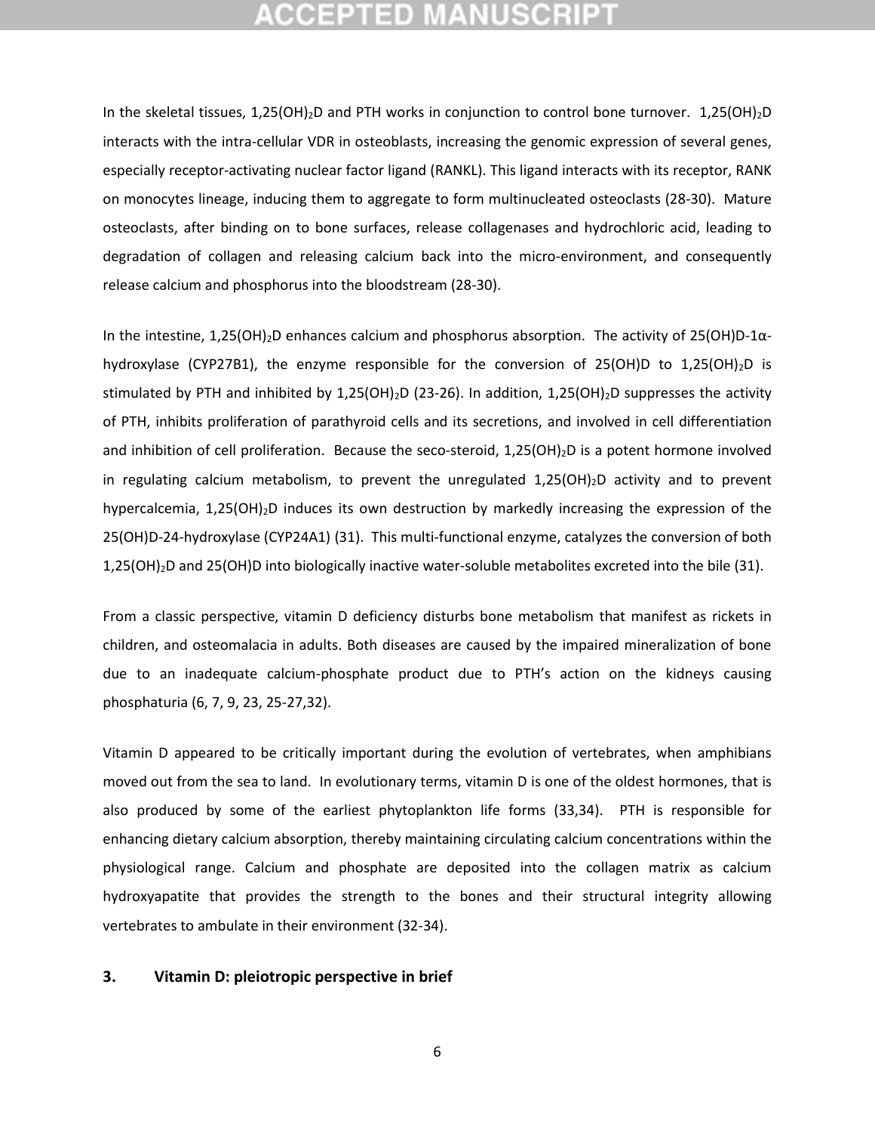### **CCEPTED MANUSCR**

In the skeletal tissues, 1,25(OH)2D and PTH works in conjunction to control bone turnover. 1,25(OH)2D interacts with the intra-cellular VDR in osteoblasts, increasing the genomic expression of several genes, especially receptor-activating nuclear factor ligand (RANKL). This ligand interacts with its receptor, RANK on monocytes lineage, inducing them to aggregate to form multinucleated osteoclasts (28-30). Mature osteoclasts, after binding on to bone surfaces, release collagenases and hydrochloric acid, leading to degradation of collagen and releasing calcium back into the micro-environment, and consequently release calcium and phosphorus into the bloodstream (28-30).

In the intestine, 1,25(OH)2D enhances calcium and phosphorus absorption. The activity of 25(OH)D-1αhydroxylase (CYP27B1), the enzyme responsible for the conversion of 25(OH)D to 1,25(OH)<sub>2</sub>D is stimulated by PTH and inhibited by  $1,25(OH)_2D$  (23-26). In addition,  $1,25(OH)_2D$  suppresses the activity of PTH, inhibits proliferation of parathyroid cells and its secretions, and involved in cell differentiation and inhibition of cell proliferation. Because the seco-steroid, 1,25(OH)<sub>2</sub>D is a potent hormone involved in regulating calcium metabolism, to prevent the unregulated 1,25(OH)<sub>2</sub>D activity and to prevent hypercalcemia, 1,25(OH)2D induces its own destruction by markedly increasing the expression of the 25(OH)D-24-hydroxylase (CYP24A1) (31). This multi-functional enzyme, catalyzes the conversion of both 1,25(OH)2D and 25(OH)D into biologically inactive water-soluble metabolites excreted into the bile (31).

From a classic perspective, vitamin D deficiency disturbs bone metabolism that manifest as rickets in children, and osteomalacia in adults. Both diseases are caused by the impaired mineralization of bone due to an inadequate calcium-phosphate product due to PTH's action on the kidneys causing phosphaturia (6, 7, 9, 23, 25-27,32).

Vitamin D appeared to be critically important during the evolution of vertebrates, when amphibians moved out from the sea to land. In evolutionary terms, vitamin D is one of the oldest hormones, that is also produced by some of the earliest phytoplankton life forms (33,34). PTH is responsible for enhancing dietary calcium absorption, thereby maintaining circulating calcium concentrations within the physiological range. Calcium and phosphate are deposited into the collagen matrix as calcium hydroxyapatite that provides the strength to the bones and their structural integrity allowing vertebrates to ambulate in their environment (32-34).

#### **3. Vitamin D: pleiotropic perspective in brief**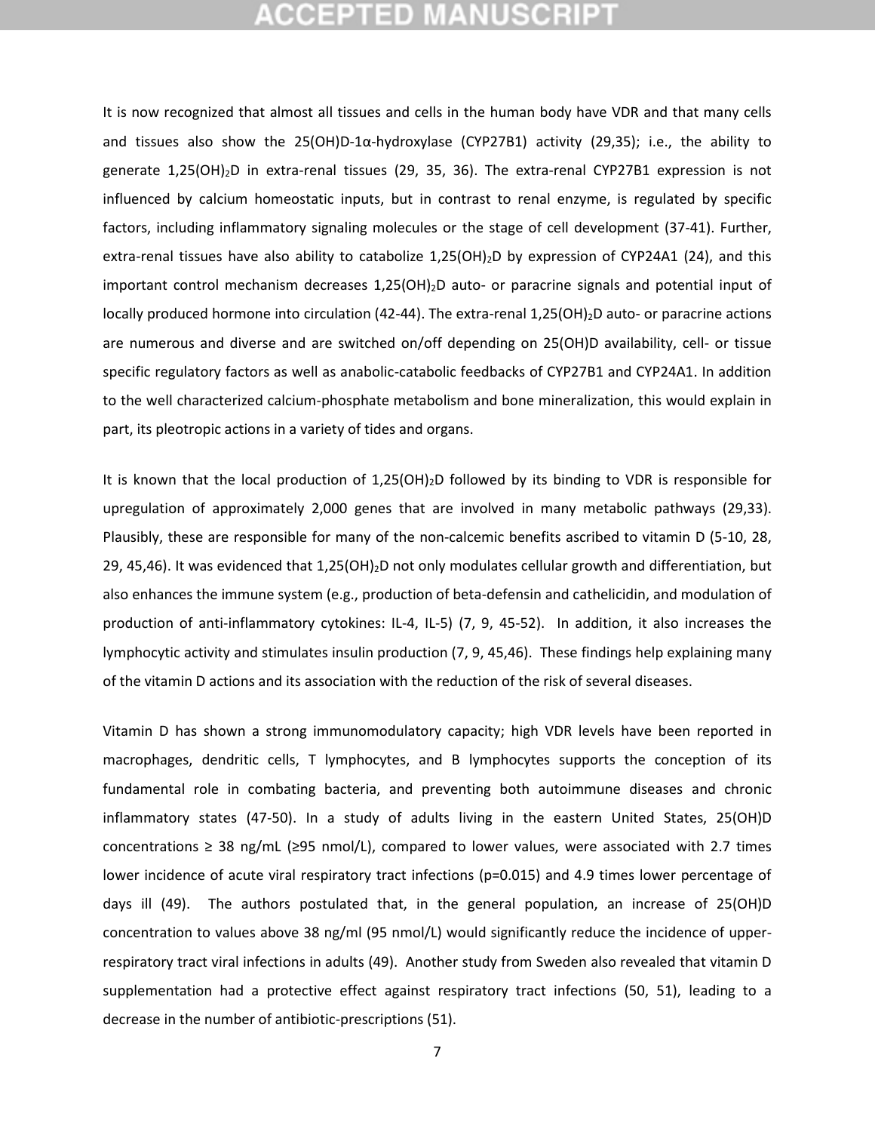### :CEPTED M

It is now recognized that almost all tissues and cells in the human body have VDR and that many cells and tissues also show the 25(OH)D-1 $\alpha$ -hydroxylase (CYP27B1) activity (29,35); i.e., the ability to generate 1,25(OH)2D in extra-renal tissues (29, 35, 36). The extra-renal CYP27B1 expression is not influenced by calcium homeostatic inputs, but in contrast to renal enzyme, is regulated by specific factors, including inflammatory signaling molecules or the stage of cell development (37-41). Further, extra-renal tissues have also ability to catabolize 1,25(OH)<sub>2</sub>D by expression of CYP24A1 (24), and this important control mechanism decreases  $1,25(OH)<sub>2</sub>D$  auto- or paracrine signals and potential input of locally produced hormone into circulation (42-44). The extra-renal 1,25(OH)<sub>2</sub>D auto- or paracrine actions are numerous and diverse and are switched on/off depending on 25(OH)D availability, cell- or tissue specific regulatory factors as well as anabolic-catabolic feedbacks of CYP27B1 and CYP24A1. In addition to the well characterized calcium-phosphate metabolism and bone mineralization, this would explain in part, its pleotropic actions in a variety of tides and organs.

It is known that the local production of 1,25(OH)<sub>2</sub>D followed by its binding to VDR is responsible for upregulation of approximately 2,000 genes that are involved in many metabolic pathways (29,33). Plausibly, these are responsible for many of the non-calcemic benefits ascribed to vitamin D (5-10, 28, 29, 45,46). It was evidenced that 1,25(OH)2D not only modulates cellular growth and differentiation, but also enhances the immune system (e.g., production of beta-defensin and cathelicidin, and modulation of production of anti-inflammatory cytokines: IL-4, IL-5) (7, 9, 45-52). In addition, it also increases the lymphocytic activity and stimulates insulin production (7, 9, 45,46). These findings help explaining many of the vitamin D actions and its association with the reduction of the risk of several diseases.

Vitamin D has shown a strong immunomodulatory capacity; high VDR levels have been reported in macrophages, dendritic cells, T lymphocytes, and B lymphocytes supports the conception of its fundamental role in combating bacteria, and preventing both autoimmune diseases and chronic inflammatory states (47-50). In a study of adults living in the eastern United States, 25(OH)D concentrations  $\geq$  38 ng/mL ( $\geq$ 95 nmol/L), compared to lower values, were associated with 2.7 times lower incidence of acute viral respiratory tract infections (p=0.015) and 4.9 times lower percentage of days ill (49). The authors postulated that, in the general population, an increase of 25(OH)D concentration to values above 38 ng/ml (95 nmol/L) would significantly reduce the incidence of upperrespiratory tract viral infections in adults (49). Another study from Sweden also revealed that vitamin D supplementation had a protective effect against respiratory tract infections (50, 51), leading to a decrease in the number of antibiotic-prescriptions (51).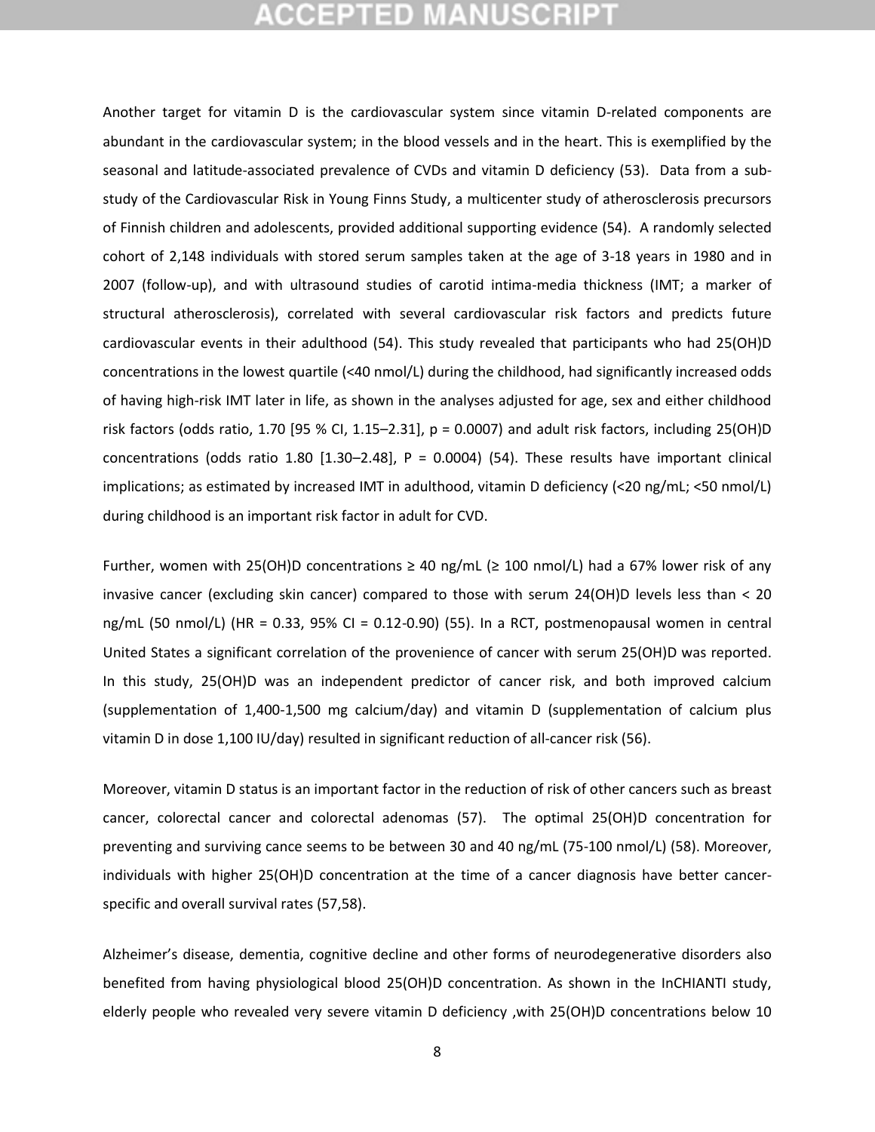### **CEPTED MANUSCR**

Another target for vitamin D is the cardiovascular system since vitamin D-related components are abundant in the cardiovascular system; in the blood vessels and in the heart. This is exemplified by the seasonal and latitude-associated prevalence of CVDs and vitamin D deficiency (53). Data from a substudy of the Cardiovascular Risk in Young Finns Study, a multicenter study of atherosclerosis precursors of Finnish children and adolescents, provided additional supporting evidence (54). A randomly selected cohort of 2,148 individuals with stored serum samples taken at the age of 3-18 years in 1980 and in 2007 (follow-up), and with ultrasound studies of carotid intima-media thickness (IMT; a marker of structural atherosclerosis), correlated with several cardiovascular risk factors and predicts future cardiovascular events in their adulthood (54). This study revealed that participants who had 25(OH)D concentrations in the lowest quartile (<40 nmol/L) during the childhood, had significantly increased odds of having high-risk IMT later in life, as shown in the analyses adjusted for age, sex and either childhood risk factors (odds ratio, 1.70 [95 % CI, 1.15–2.31],  $p = 0.0007$ ) and adult risk factors, including 25(OH)D concentrations (odds ratio 1.80  $[1.30-2.48]$ , P = 0.0004) (54). These results have important clinical implications; as estimated by increased IMT in adulthood, vitamin D deficiency (<20 ng/mL; <50 nmol/L) during childhood is an important risk factor in adult for CVD.

Further, women with 25(OH)D concentrations  $\geq$  40 ng/mL ( $\geq$  100 nmol/L) had a 67% lower risk of any invasive cancer (excluding skin cancer) compared to those with serum 24(OH)D levels less than < 20 ng/mL (50 nmol/L) (HR = 0.33, 95% CI = 0.12-0.90) (55). In a RCT, postmenopausal women in central United States a significant correlation of the provenience of cancer with serum 25(OH)D was reported. In this study, 25(OH)D was an independent predictor of cancer risk, and both improved calcium (supplementation of 1,400-1,500 mg calcium/day) and vitamin D (supplementation of calcium plus vitamin D in dose 1,100 IU/day) resulted in significant reduction of all-cancer risk (56).

Moreover, vitamin D status is an important factor in the reduction of risk of other cancers such as breast cancer, colorectal cancer and colorectal adenomas (57). The optimal 25(OH)D concentration for preventing and surviving cance seems to be between 30 and 40 ng/mL (75-100 nmol/L) (58). Moreover, individuals with higher 25(OH)D concentration at the time of a cancer diagnosis have better cancerspecific and overall survival rates (57,58).

Alzheimer's disease, dementia, cognitive decline and other forms of neurodegenerative disorders also benefited from having physiological blood 25(OH)D concentration. As shown in the InCHIANTI study, elderly people who revealed very severe vitamin D deficiency ,with 25(OH)D concentrations below 10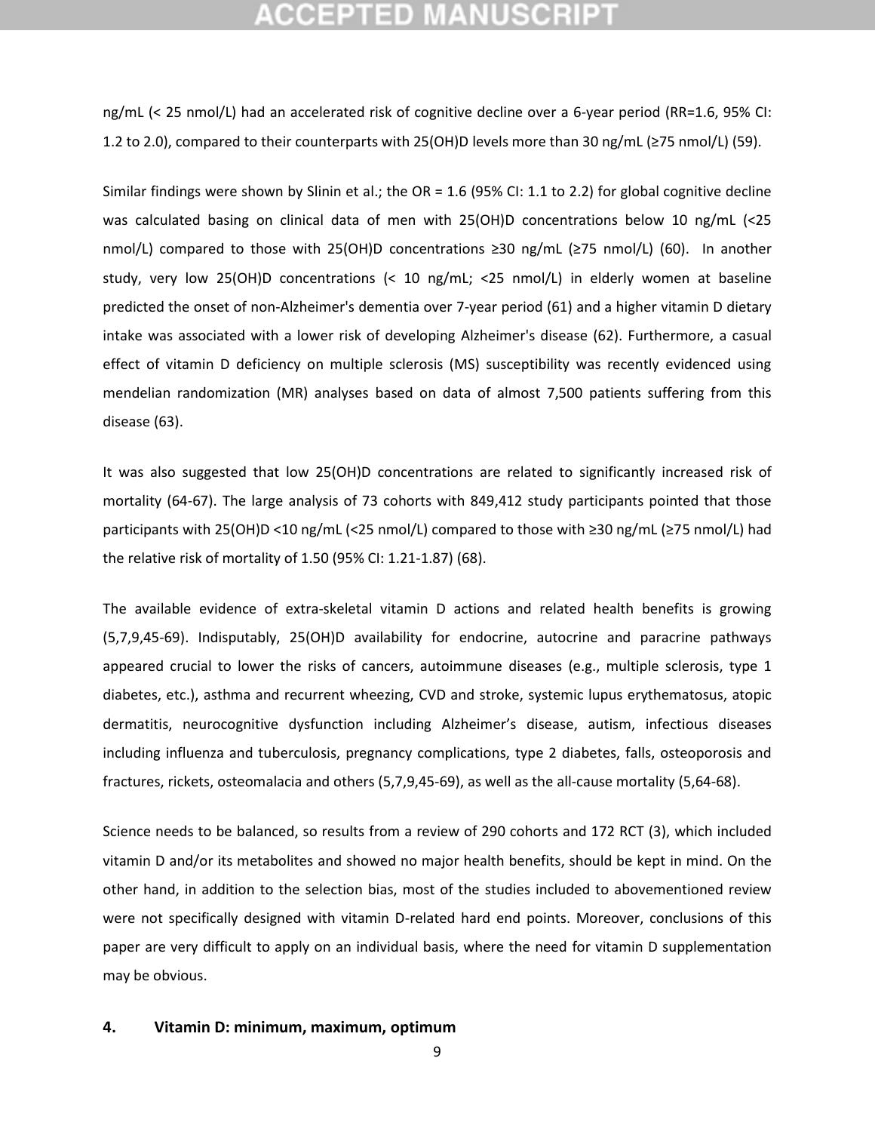### ICEPTED M

ng/mL (< 25 nmol/L) had an accelerated risk of cognitive decline over a 6-year period (RR=1.6, 95% CI: 1.2 to 2.0), compared to their counterparts with 25(OH)D levels more than 30 ng/mL (≥75 nmol/L) (59).

Similar findings were shown by Slinin et al.; the OR = 1.6 (95% CI: 1.1 to 2.2) for global cognitive decline was calculated basing on clinical data of men with 25(OH)D concentrations below 10 ng/mL (<25 nmol/L) compared to those with 25(OH)D concentrations ≥30 ng/mL (≥75 nmol/L) (60). In another study, very low 25(OH)D concentrations  $\langle$  10 ng/mL;  $\langle$  25 nmol/L) in elderly women at baseline predicted the onset of non-Alzheimer's dementia over 7-year period (61) and a higher vitamin D dietary intake was associated with a lower risk of developing Alzheimer's disease (62). Furthermore, a casual effect of vitamin D deficiency on multiple sclerosis (MS) susceptibility was recently evidenced using mendelian randomization (MR) analyses based on data of almost 7,500 patients suffering from this disease (63).

It was also suggested that low 25(OH)D concentrations are related to significantly increased risk of mortality (64-67). The large analysis of 73 cohorts with 849,412 study participants pointed that those participants with 25(OH)D <10 ng/mL (<25 nmol/L) compared to those with ≥30 ng/mL (≥75 nmol/L) had the relative risk of mortality of 1.50 (95% CI: 1.21-1.87) (68).

The available evidence of extra-skeletal vitamin D actions and related health benefits is growing (5,7,9,45-69). Indisputably, 25(OH)D availability for endocrine, autocrine and paracrine pathways appeared crucial to lower the risks of cancers, autoimmune diseases (e.g., multiple sclerosis, type 1 diabetes, etc.), asthma and recurrent wheezing, CVD and stroke, systemic lupus erythematosus, atopic dermatitis, neurocognitive dysfunction including Alzheimer's disease, autism, infectious diseases including influenza and tuberculosis, pregnancy complications, type 2 diabetes, falls, osteoporosis and fractures, rickets, osteomalacia and others (5,7,9,45-69), as well as the all-cause mortality (5,64-68).

Science needs to be balanced, so results from a review of 290 cohorts and 172 RCT (3), which included vitamin D and/or its metabolites and showed no major health benefits, should be kept in mind. On the other hand, in addition to the selection bias, most of the studies included to abovementioned review were not specifically designed with vitamin D-related hard end points. Moreover, conclusions of this paper are very difficult to apply on an individual basis, where the need for vitamin D supplementation may be obvious.

#### **4. Vitamin D: minimum, maximum, optimum**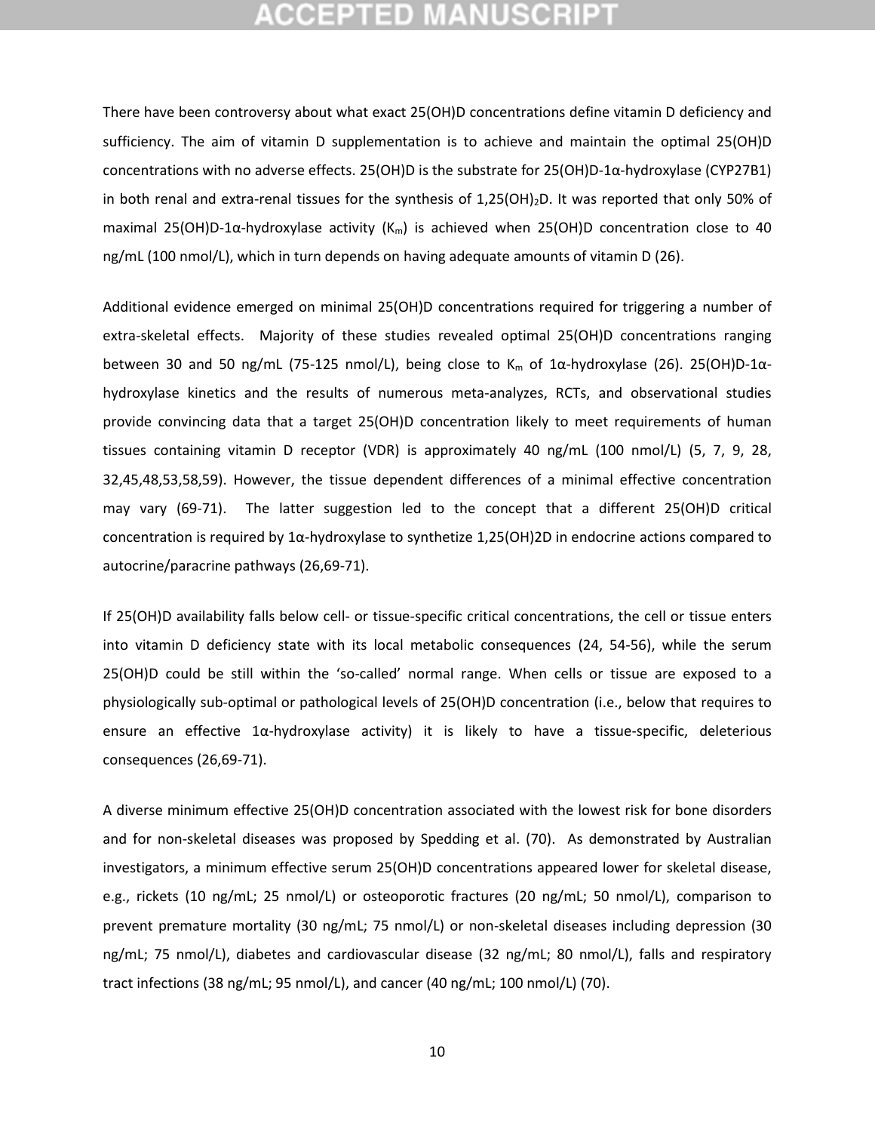### :CEPTED M

There have been controversy about what exact 25(OH)D concentrations define vitamin D deficiency and sufficiency. The aim of vitamin D supplementation is to achieve and maintain the optimal 25(OH)D concentrations with no adverse effects. 25(OH)D is the substrate for 25(OH)D-1α-hydroxylase (CYP27B1) in both renal and extra-renal tissues for the synthesis of  $1,25(OH)_2D$ . It was reported that only 50% of maximal 25(OH)D-1 $\alpha$ -hydroxylase activity (K<sub>m</sub>) is achieved when 25(OH)D concentration close to 40 ng/mL (100 nmol/L), which in turn depends on having adequate amounts of vitamin D (26).

Additional evidence emerged on minimal 25(OH)D concentrations required for triggering a number of extra-skeletal effects. Majority of these studies revealed optimal 25(OH)D concentrations ranging between 30 and 50 ng/mL (75-125 nmol/L), being close to K<sub>m</sub> of 1 $\alpha$ -hydroxylase (26). 25(OH)D-1 $\alpha$ hydroxylase kinetics and the results of numerous meta-analyzes, RCTs, and observational studies provide convincing data that a target 25(OH)D concentration likely to meet requirements of human tissues containing vitamin D receptor (VDR) is approximately 40 ng/mL (100 nmol/L) (5, 7, 9, 28, 32,45,48,53,58,59). However, the tissue dependent differences of a minimal effective concentration may vary (69-71). The latter suggestion led to the concept that a different 25(OH)D critical concentration is required by 1α-hydroxylase to synthetize 1,25(OH)2D in endocrine actions compared to autocrine/paracrine pathways (26,69-71).

If 25(OH)D availability falls below cell- or tissue-specific critical concentrations, the cell or tissue enters into vitamin D deficiency state with its local metabolic consequences (24, 54-56), while the serum 25(OH)D could be still within the 'so-called' normal range. When cells or tissue are exposed to a physiologically sub-optimal or pathological levels of 25(OH)D concentration (i.e., below that requires to ensure an effective 1α-hydroxylase activity) it is likely to have a tissue-specific, deleterious consequences (26,69-71).

A diverse minimum effective 25(OH)D concentration associated with the lowest risk for bone disorders and for non-skeletal diseases was proposed by Spedding et al. (70). As demonstrated by Australian investigators, a minimum effective serum 25(OH)D concentrations appeared lower for skeletal disease, e.g., rickets (10 ng/mL; 25 nmol/L) or osteoporotic fractures (20 ng/mL; 50 nmol/L), comparison to prevent premature mortality (30 ng/mL; 75 nmol/L) or non-skeletal diseases including depression (30 ng/mL; 75 nmol/L), diabetes and cardiovascular disease (32 ng/mL; 80 nmol/L), falls and respiratory tract infections (38 ng/mL; 95 nmol/L), and cancer (40 ng/mL; 100 nmol/L) (70).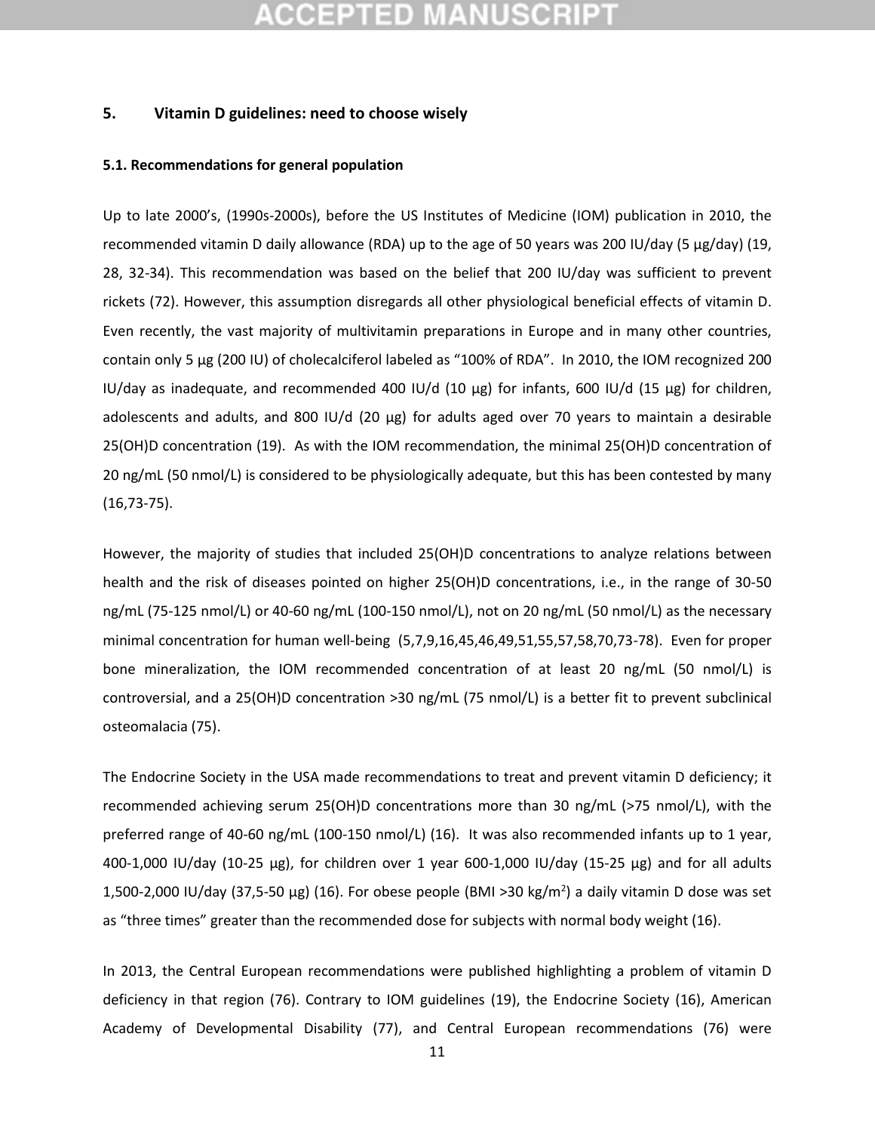#### **5. Vitamin D guidelines: need to choose wisely**

#### **5.1. Recommendations for general population**

Up to late 2000's, (1990s-2000s), before the US Institutes of Medicine (IOM) publication in 2010, the recommended vitamin D daily allowance (RDA) up to the age of 50 years was 200 IU/day (5 µg/day) (19, 28, 32-34). This recommendation was based on the belief that 200 IU/day was sufficient to prevent rickets (72). However, this assumption disregards all other physiological beneficial effects of vitamin D. Even recently, the vast majority of multivitamin preparations in Europe and in many other countries, contain only 5 µg (200 IU) of cholecalciferol labeled as "100% of RDA". In 2010, the IOM recognized 200 IU/day as inadequate, and recommended 400 IU/d (10  $\mu$ g) for infants, 600 IU/d (15  $\mu$ g) for children, adolescents and adults, and 800 IU/d (20  $\mu$ g) for adults aged over 70 years to maintain a desirable 25(OH)D concentration (19). As with the IOM recommendation, the minimal 25(OH)D concentration of 20 ng/mL (50 nmol/L) is considered to be physiologically adequate, but this has been contested by many (16,73-75).

However, the majority of studies that included 25(OH)D concentrations to analyze relations between health and the risk of diseases pointed on higher 25(OH)D concentrations, i.e., in the range of 30-50 ng/mL (75-125 nmol/L) or 40-60 ng/mL (100-150 nmol/L), not on 20 ng/mL (50 nmol/L) as the necessary minimal concentration for human well-being (5,7,9,16,45,46,49,51,55,57,58,70,73-78). Even for proper bone mineralization, the IOM recommended concentration of at least 20 ng/mL (50 nmol/L) is controversial, and a 25(OH)D concentration >30 ng/mL (75 nmol/L) is a better fit to prevent subclinical osteomalacia (75).

The Endocrine Society in the USA made recommendations to treat and prevent vitamin D deficiency; it recommended achieving serum 25(OH)D concentrations more than 30 ng/mL (>75 nmol/L), with the preferred range of 40-60 ng/mL (100-150 nmol/L) (16). It was also recommended infants up to 1 year, 400-1,000 IU/day (10-25 µg), for children over 1 year 600-1,000 IU/day (15-25 µg) and for all adults 1,500-2,000 IU/day (37,5-50 µg) (16). For obese people (BMI >30 kg/m<sup>2</sup>) a daily vitamin D dose was set as "three times" greater than the recommended dose for subjects with normal body weight (16).

In 2013, the Central European recommendations were published highlighting a problem of vitamin D deficiency in that region (76). Contrary to IOM guidelines (19), the Endocrine Society (16), American Academy of Developmental Disability (77), and Central European recommendations (76) were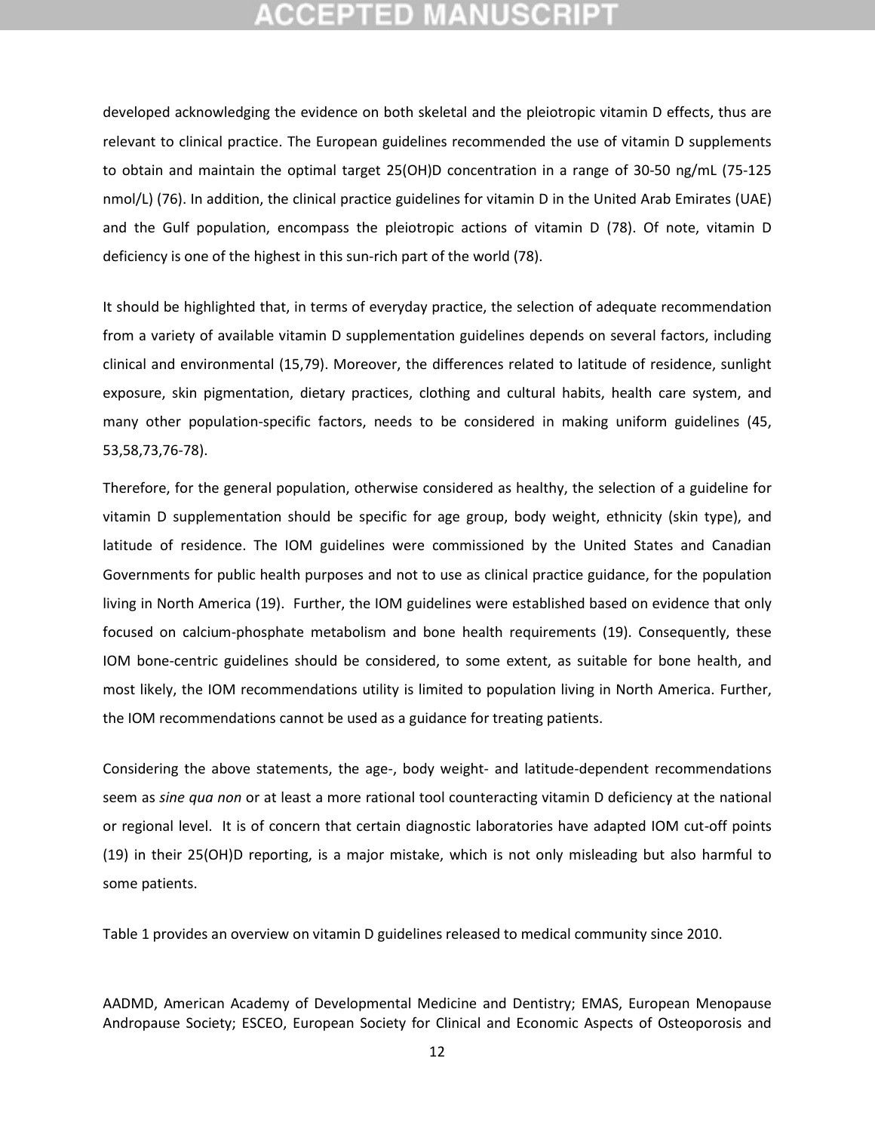### ICEPTED M

developed acknowledging the evidence on both skeletal and the pleiotropic vitamin D effects, thus are relevant to clinical practice. The European guidelines recommended the use of vitamin D supplements to obtain and maintain the optimal target 25(OH)D concentration in a range of 30-50 ng/mL (75-125 nmol/L) (76). In addition, the clinical practice guidelines for vitamin D in the United Arab Emirates (UAE) and the Gulf population, encompass the pleiotropic actions of vitamin D (78). Of note, vitamin D deficiency is one of the highest in this sun-rich part of the world (78).

It should be highlighted that, in terms of everyday practice, the selection of adequate recommendation from a variety of available vitamin D supplementation guidelines depends on several factors, including clinical and environmental (15,79). Moreover, the differences related to latitude of residence, sunlight exposure, skin pigmentation, dietary practices, clothing and cultural habits, health care system, and many other population-specific factors, needs to be considered in making uniform guidelines (45, 53,58,73,76-78).

Therefore, for the general population, otherwise considered as healthy, the selection of a guideline for vitamin D supplementation should be specific for age group, body weight, ethnicity (skin type), and latitude of residence. The IOM guidelines were commissioned by the United States and Canadian Governments for public health purposes and not to use as clinical practice guidance, for the population living in North America (19). Further, the IOM guidelines were established based on evidence that only focused on calcium-phosphate metabolism and bone health requirements (19). Consequently, these IOM bone-centric guidelines should be considered, to some extent, as suitable for bone health, and most likely, the IOM recommendations utility is limited to population living in North America. Further, the IOM recommendations cannot be used as a guidance for treating patients.

Considering the above statements, the age-, body weight- and latitude-dependent recommendations seem as *sine qua non* or at least a more rational tool counteracting vitamin D deficiency at the national or regional level. It is of concern that certain diagnostic laboratories have adapted IOM cut-off points (19) in their 25(OH)D reporting, is a major mistake, which is not only misleading but also harmful to some patients.

Table 1 provides an overview on vitamin D guidelines released to medical community since 2010.

AADMD, American Academy of Developmental Medicine and Dentistry; EMAS, European Menopause Andropause Society; ESCEO, European Society for Clinical and Economic Aspects of Osteoporosis and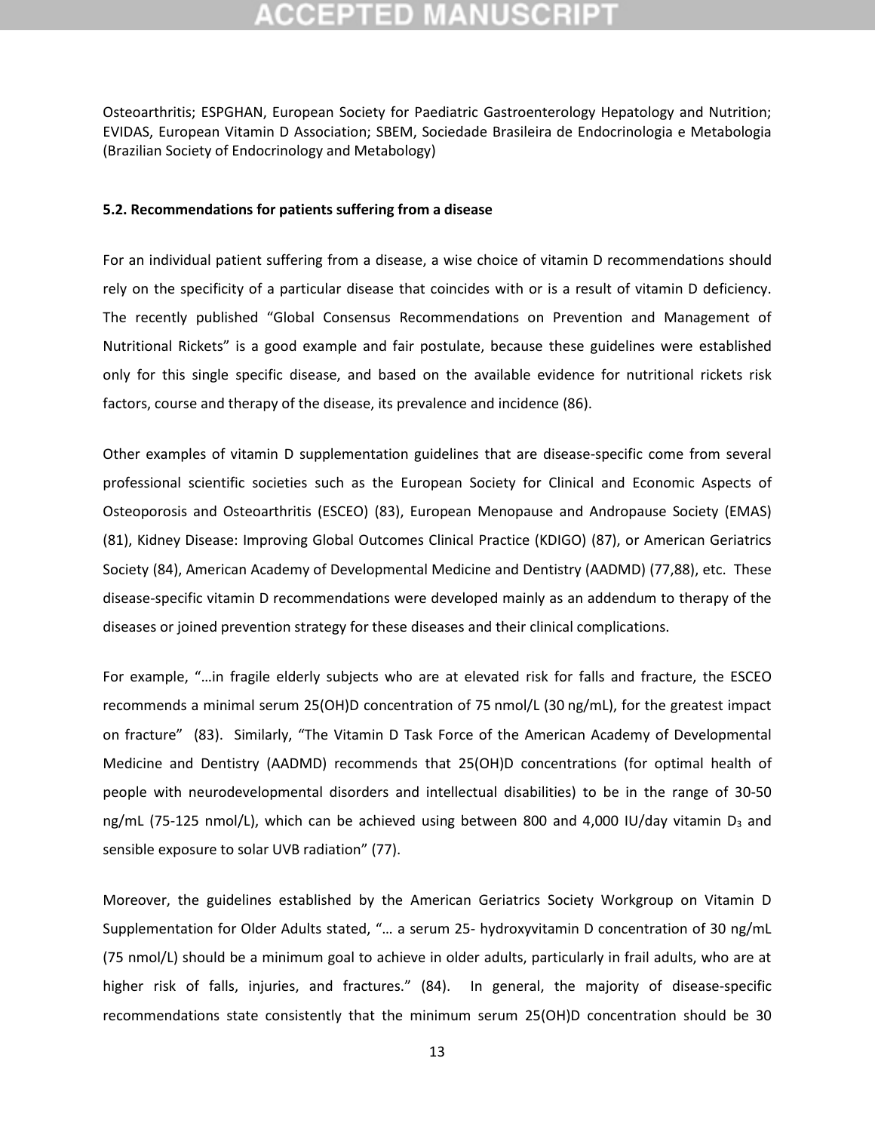Osteoarthritis; ESPGHAN, European Society for Paediatric Gastroenterology Hepatology and Nutrition; EVIDAS, European Vitamin D Association; SBEM, Sociedade Brasileira de Endocrinologia e Metabologia (Brazilian Society of Endocrinology and Metabology)

#### **5.2. Recommendations for patients suffering from a disease**

For an individual patient suffering from a disease, a wise choice of vitamin D recommendations should rely on the specificity of a particular disease that coincides with or is a result of vitamin D deficiency. The recently published "Global Consensus Recommendations on Prevention and Management of Nutritional Rickets" is a good example and fair postulate, because these guidelines were established only for this single specific disease, and based on the available evidence for nutritional rickets risk factors, course and therapy of the disease, its prevalence and incidence (86).

Other examples of vitamin D supplementation guidelines that are disease-specific come from several professional scientific societies such as the European Society for Clinical and Economic Aspects of Osteoporosis and Osteoarthritis (ESCEO) (83), European Menopause and Andropause Society (EMAS) (81), Kidney Disease: Improving Global Outcomes Clinical Practice (KDIGO) (87), or American Geriatrics Society (84), American Academy of Developmental Medicine and Dentistry (AADMD) (77,88), etc. These disease-specific vitamin D recommendations were developed mainly as an addendum to therapy of the diseases or joined prevention strategy for these diseases and their clinical complications.

For example, "…in fragile elderly subjects who are at elevated risk for falls and fracture, the ESCEO recommends a minimal serum 25(OH)D concentration of 75 nmol/L (30 ng/mL), for the greatest impact on fracture" (83). Similarly, "The Vitamin D Task Force of the American Academy of Developmental Medicine and Dentistry (AADMD) recommends that 25(OH)D concentrations (for optimal health of people with neurodevelopmental disorders and intellectual disabilities) to be in the range of 30-50 ng/mL (75-125 nmol/L), which can be achieved using between 800 and 4,000 IU/day vitamin  $D_3$  and sensible exposure to solar UVB radiation" (77).

Moreover, the guidelines established by the American Geriatrics Society Workgroup on Vitamin D Supplementation for Older Adults stated, "… a serum 25- hydroxyvitamin D concentration of 30 ng/mL (75 nmol/L) should be a minimum goal to achieve in older adults, particularly in frail adults, who are at higher risk of falls, injuries, and fractures." (84). In general, the majority of disease-specific recommendations state consistently that the minimum serum 25(OH)D concentration should be 30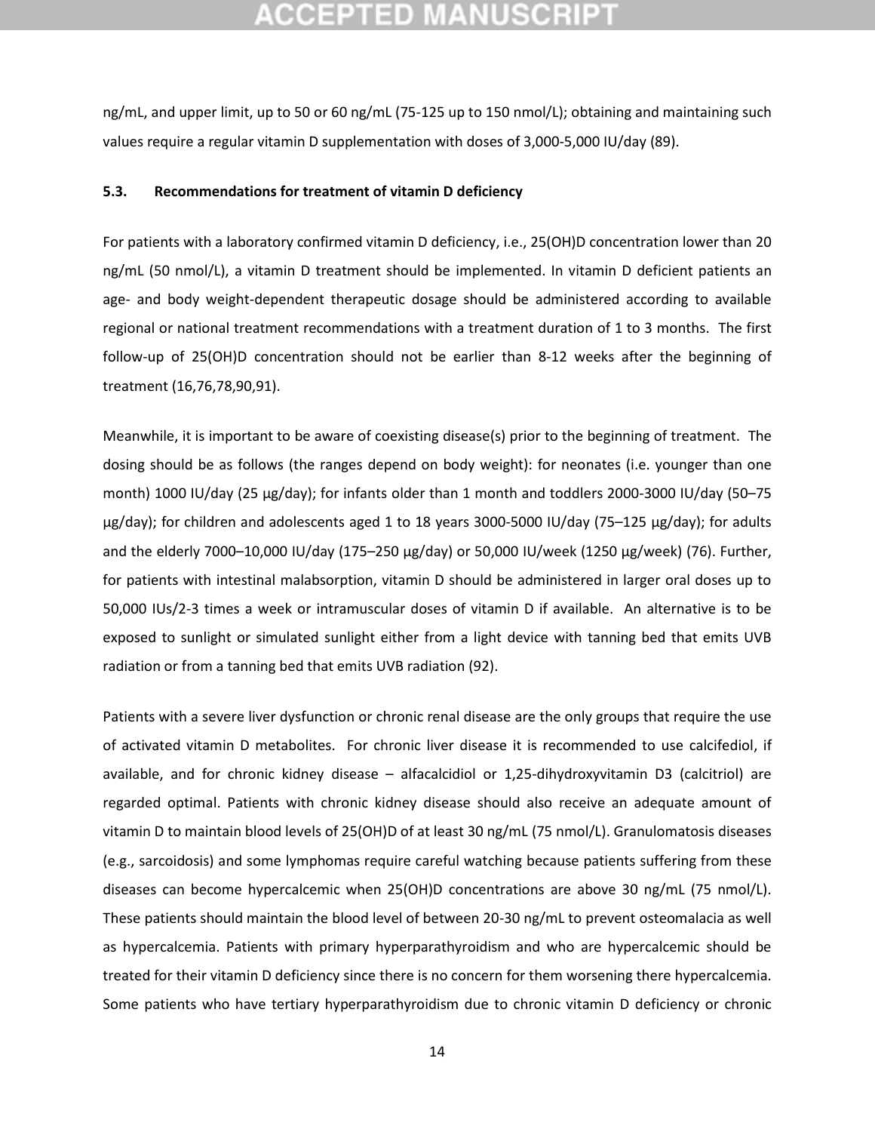### CEPTED

ng/mL, and upper limit, up to 50 or 60 ng/mL (75-125 up to 150 nmol/L); obtaining and maintaining such values require a regular vitamin D supplementation with doses of 3,000-5,000 IU/day (89).

#### **5.3. Recommendations for treatment of vitamin D deficiency**

For patients with a laboratory confirmed vitamin D deficiency, i.e., 25(OH)D concentration lower than 20 ng/mL (50 nmol/L), a vitamin D treatment should be implemented. In vitamin D deficient patients an age- and body weight-dependent therapeutic dosage should be administered according to available regional or national treatment recommendations with a treatment duration of 1 to 3 months. The first follow-up of 25(OH)D concentration should not be earlier than 8-12 weeks after the beginning of treatment (16,76,78,90,91).

Meanwhile, it is important to be aware of coexisting disease(s) prior to the beginning of treatment. The dosing should be as follows (the ranges depend on body weight): for neonates (i.e. younger than one month) 1000 IU/day (25 μg/day); for infants older than 1 month and toddlers 2000-3000 IU/day (50–75 μg/day); for children and adolescents aged 1 to 18 years 3000-5000 IU/day (75–125 μg/day); for adults and the elderly 7000–10,000 IU/day (175–250 μg/day) or 50,000 IU/week (1250 μg/week) (76). Further, for patients with intestinal malabsorption, vitamin D should be administered in larger oral doses up to 50,000 IUs/2-3 times a week or intramuscular doses of vitamin D if available. An alternative is to be exposed to sunlight or simulated sunlight either from a light device with tanning bed that emits UVB radiation or from a tanning bed that emits UVB radiation (92).

Patients with a severe liver dysfunction or chronic renal disease are the only groups that require the use of activated vitamin D metabolites. For chronic liver disease it is recommended to use calcifediol, if available, and for chronic kidney disease – alfacalcidiol or 1,25-dihydroxyvitamin D3 (calcitriol) are regarded optimal. Patients with chronic kidney disease should also receive an adequate amount of vitamin D to maintain blood levels of 25(OH)D of at least 30 ng/mL (75 nmol/L). Granulomatosis diseases (e.g., sarcoidosis) and some lymphomas require careful watching because patients suffering from these diseases can become hypercalcemic when 25(OH)D concentrations are above 30 ng/mL (75 nmol/L). These patients should maintain the blood level of between 20-30 ng/mL to prevent osteomalacia as well as hypercalcemia. Patients with primary hyperparathyroidism and who are hypercalcemic should be treated for their vitamin D deficiency since there is no concern for them worsening there hypercalcemia. Some patients who have tertiary hyperparathyroidism due to chronic vitamin D deficiency or chronic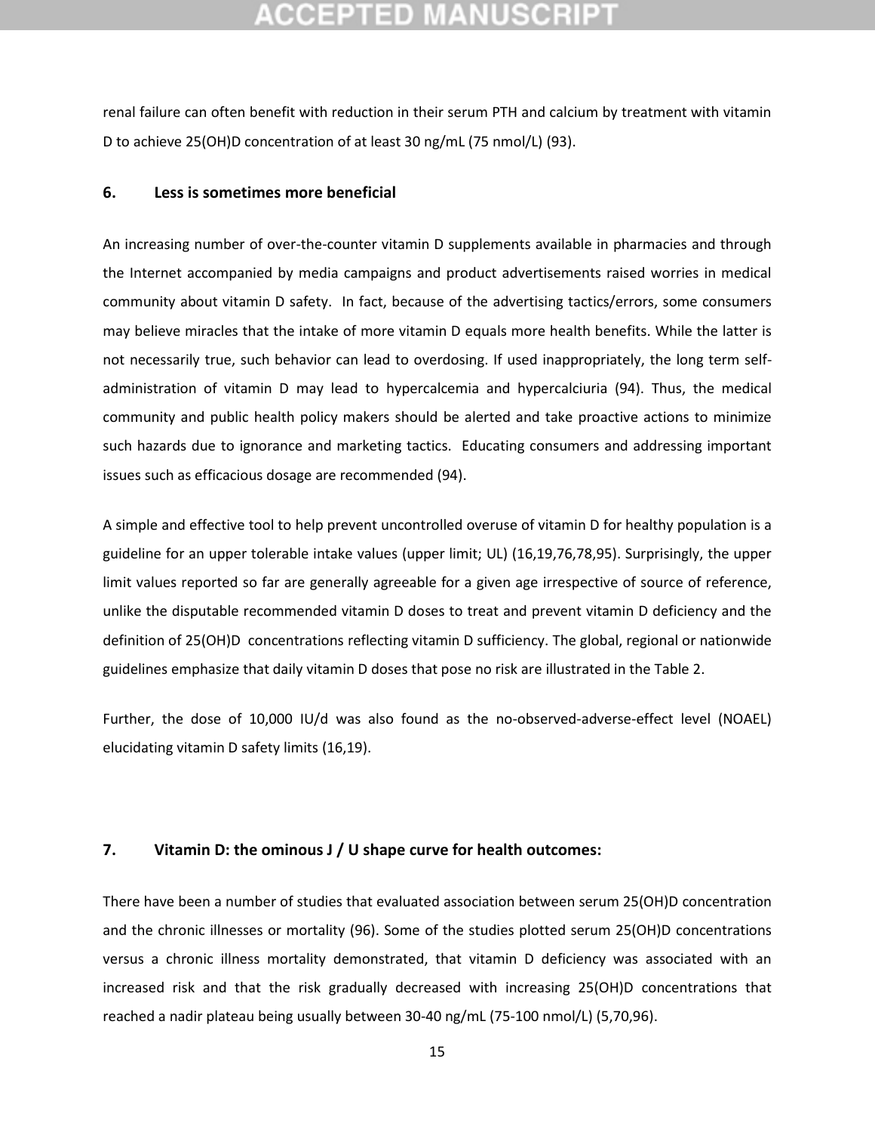renal failure can often benefit with reduction in their serum PTH and calcium by treatment with vitamin D to achieve 25(OH)D concentration of at least 30 ng/mL (75 nmol/L) (93).

#### **6. Less is sometimes more beneficial**

An increasing number of over-the-counter vitamin D supplements available in pharmacies and through the Internet accompanied by media campaigns and product advertisements raised worries in medical community about vitamin D safety. In fact, because of the advertising tactics/errors, some consumers may believe miracles that the intake of more vitamin D equals more health benefits. While the latter is not necessarily true, such behavior can lead to overdosing. If used inappropriately, the long term selfadministration of vitamin D may lead to hypercalcemia and hypercalciuria (94). Thus, the medical community and public health policy makers should be alerted and take proactive actions to minimize such hazards due to ignorance and marketing tactics. Educating consumers and addressing important issues such as efficacious dosage are recommended (94).

A simple and effective tool to help prevent uncontrolled overuse of vitamin D for healthy population is a guideline for an upper tolerable intake values (upper limit; UL) (16,19,76,78,95). Surprisingly, the upper limit values reported so far are generally agreeable for a given age irrespective of source of reference, unlike the disputable recommended vitamin D doses to treat and prevent vitamin D deficiency and the definition of 25(OH)D concentrations reflecting vitamin D sufficiency. The global, regional or nationwide guidelines emphasize that daily vitamin D doses that pose no risk are illustrated in the Table 2.

Further, the dose of 10,000 IU/d was also found as the no-observed-adverse-effect level (NOAEL) elucidating vitamin D safety limits (16,19).

#### **7. Vitamin D: the ominous J / U shape curve for health outcomes:**

There have been a number of studies that evaluated association between serum 25(OH)D concentration and the chronic illnesses or mortality (96). Some of the studies plotted serum 25(OH)D concentrations versus a chronic illness mortality demonstrated, that vitamin D deficiency was associated with an increased risk and that the risk gradually decreased with increasing 25(OH)D concentrations that reached a nadir plateau being usually between 30-40 ng/mL (75-100 nmol/L) (5,70,96).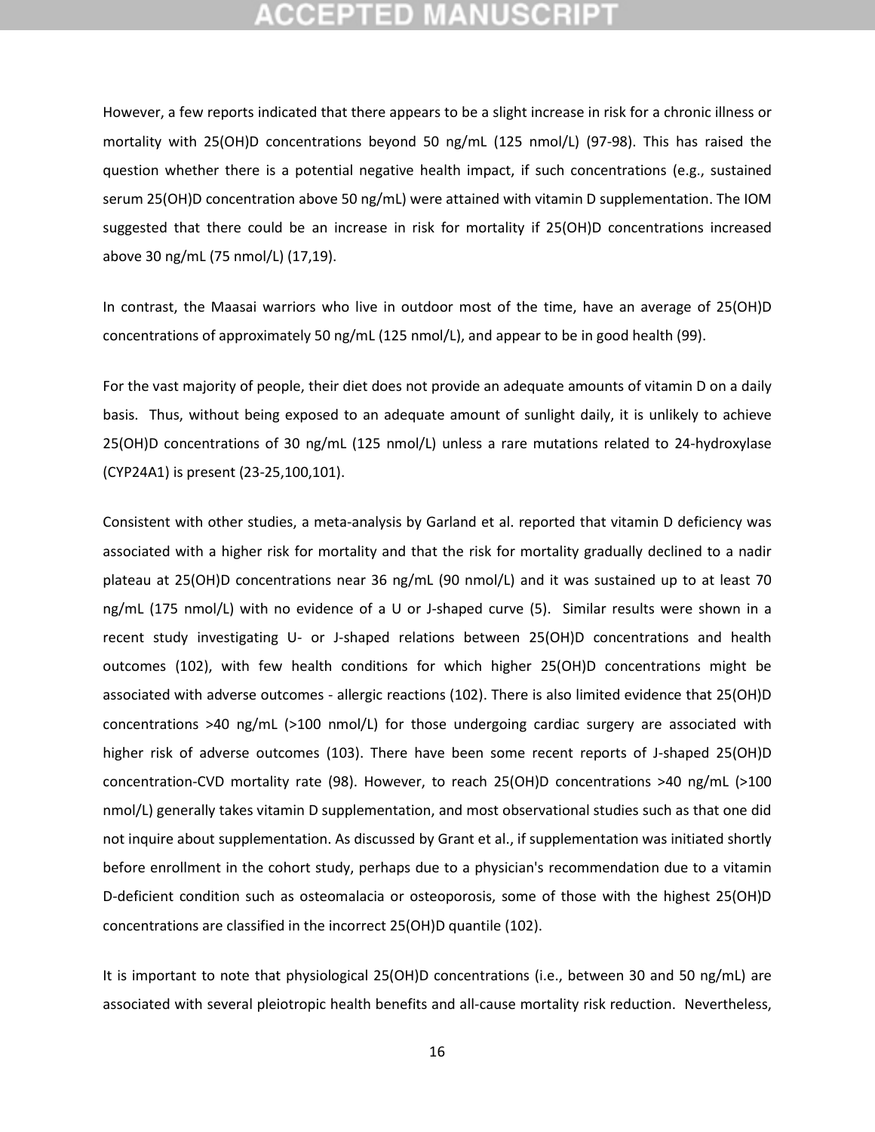### CEPTED M:

However, a few reports indicated that there appears to be a slight increase in risk for a chronic illness or mortality with 25(OH)D concentrations beyond 50 ng/mL (125 nmol/L) (97-98). This has raised the question whether there is a potential negative health impact, if such concentrations (e.g., sustained serum 25(OH)D concentration above 50 ng/mL) were attained with vitamin D supplementation. The IOM suggested that there could be an increase in risk for mortality if 25(OH)D concentrations increased above 30 ng/mL (75 nmol/L) (17,19).

In contrast, the Maasai warriors who live in outdoor most of the time, have an average of 25(OH)D concentrations of approximately 50 ng/mL (125 nmol/L), and appear to be in good health (99).

For the vast majority of people, their diet does not provide an adequate amounts of vitamin D on a daily basis. Thus, without being exposed to an adequate amount of sunlight daily, it is unlikely to achieve 25(OH)D concentrations of 30 ng/mL (125 nmol/L) unless a rare mutations related to 24-hydroxylase (CYP24A1) is present (23-25,100,101).

Consistent with other studies, a meta-analysis by Garland et al. reported that vitamin D deficiency was associated with a higher risk for mortality and that the risk for mortality gradually declined to a nadir plateau at 25(OH)D concentrations near 36 ng/mL (90 nmol/L) and it was sustained up to at least 70 ng/mL (175 nmol/L) with no evidence of a U or J-shaped curve (5). Similar results were shown in a recent study investigating U- or J-shaped relations between 25(OH)D concentrations and health outcomes (102), with few health conditions for which higher 25(OH)D concentrations might be associated with adverse outcomes - allergic reactions (102). There is also limited evidence that 25(OH)D concentrations >40 ng/mL (>100 nmol/L) for those undergoing cardiac surgery are associated with higher risk of adverse outcomes (103). There have been some recent reports of J-shaped 25(OH)D concentration-CVD mortality rate (98). However, to reach 25(OH)D concentrations >40 ng/mL (>100 nmol/L) generally takes vitamin D supplementation, and most observational studies such as that one did not inquire about supplementation. As discussed by Grant et al., if supplementation was initiated shortly before enrollment in the cohort study, perhaps due to a physician's recommendation due to a vitamin D-deficient condition such as osteomalacia or osteoporosis, some of those with the highest 25(OH)D concentrations are classified in the incorrect 25(OH)D quantile (102).

It is important to note that physiological 25(OH)D concentrations (i.e., between 30 and 50 ng/mL) are associated with several pleiotropic health benefits and all-cause mortality risk reduction. Nevertheless,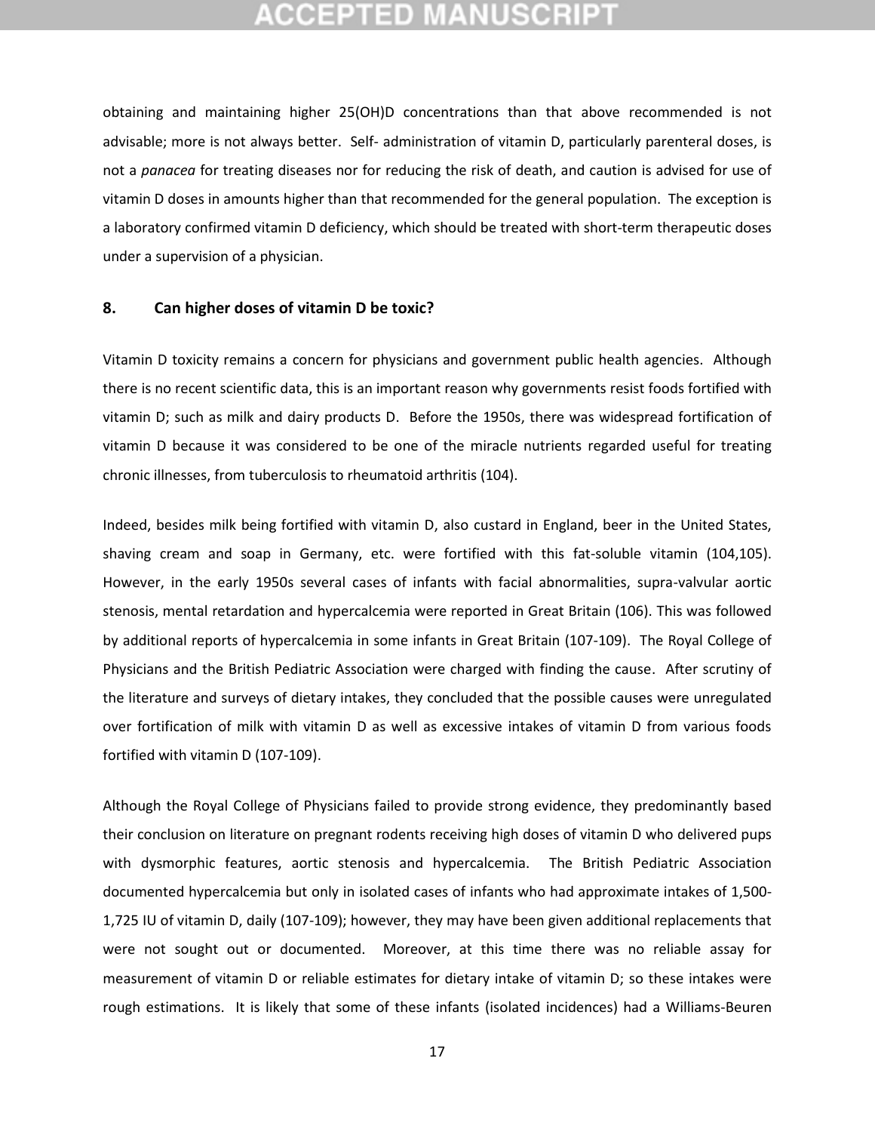### **CCEPTED MANUSCR**

obtaining and maintaining higher 25(OH)D concentrations than that above recommended is not advisable; more is not always better. Self- administration of vitamin D, particularly parenteral doses, is not a *panacea* for treating diseases nor for reducing the risk of death, and caution is advised for use of vitamin D doses in amounts higher than that recommended for the general population. The exception is a laboratory confirmed vitamin D deficiency, which should be treated with short-term therapeutic doses under a supervision of a physician.

#### **8. Can higher doses of vitamin D be toxic?**

Vitamin D toxicity remains a concern for physicians and government public health agencies. Although there is no recent scientific data, this is an important reason why governments resist foods fortified with vitamin D; such as milk and dairy products D. Before the 1950s, there was widespread fortification of vitamin D because it was considered to be one of the miracle nutrients regarded useful for treating chronic illnesses, from tuberculosis to rheumatoid arthritis (104).

Indeed, besides milk being fortified with vitamin D, also custard in England, beer in the United States, shaving cream and soap in Germany, etc. were fortified with this fat-soluble vitamin (104,105). However, in the early 1950s several cases of infants with facial abnormalities, supra-valvular aortic stenosis, mental retardation and hypercalcemia were reported in Great Britain (106). This was followed by additional reports of hypercalcemia in some infants in Great Britain (107-109). The Royal College of Physicians and the British Pediatric Association were charged with finding the cause. After scrutiny of the literature and surveys of dietary intakes, they concluded that the possible causes were unregulated over fortification of milk with vitamin D as well as excessive intakes of vitamin D from various foods fortified with vitamin D (107-109).

Although the Royal College of Physicians failed to provide strong evidence, they predominantly based their conclusion on literature on pregnant rodents receiving high doses of vitamin D who delivered pups with dysmorphic features, aortic stenosis and hypercalcemia. The British Pediatric Association documented hypercalcemia but only in isolated cases of infants who had approximate intakes of 1,500- 1,725 IU of vitamin D, daily (107-109); however, they may have been given additional replacements that were not sought out or documented. Moreover, at this time there was no reliable assay for measurement of vitamin D or reliable estimates for dietary intake of vitamin D; so these intakes were rough estimations. It is likely that some of these infants (isolated incidences) had a Williams-Beuren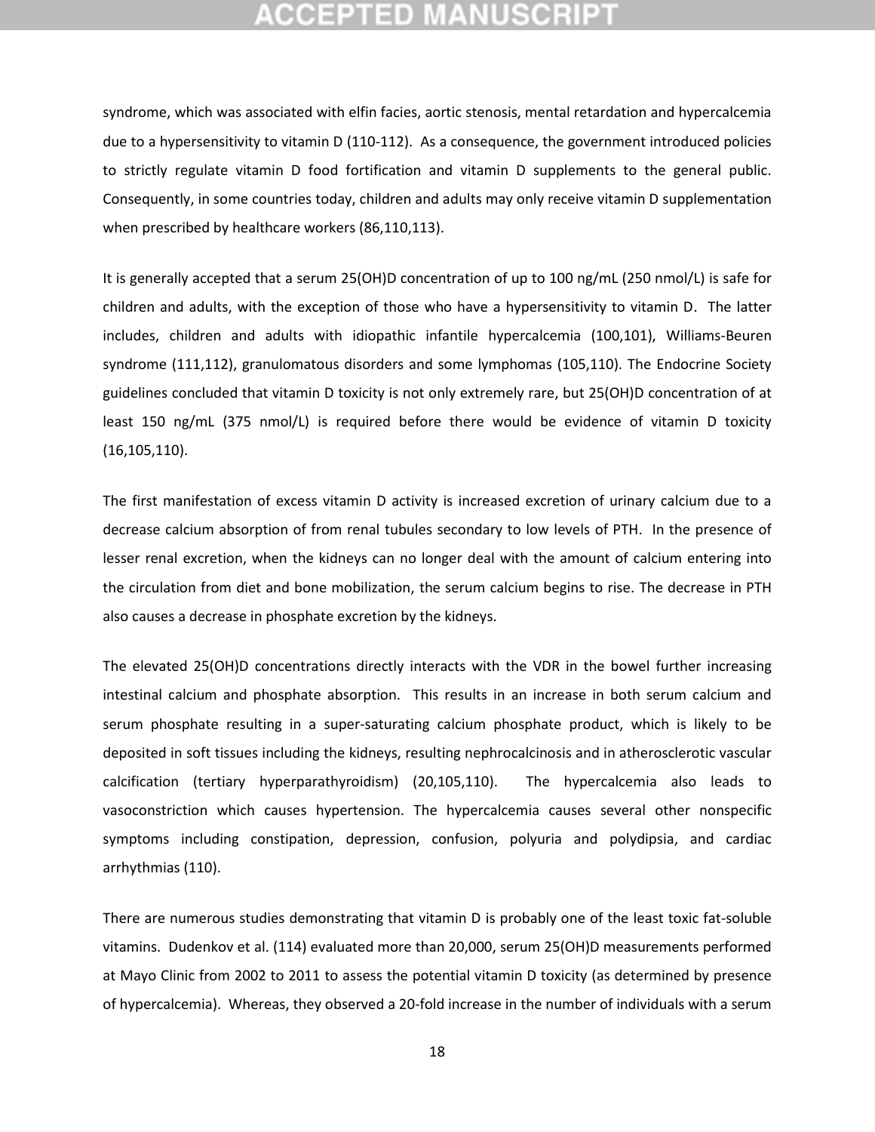### **CCEPTED MANUSCR**

syndrome, which was associated with elfin facies, aortic stenosis, mental retardation and hypercalcemia due to a hypersensitivity to vitamin D (110-112). As a consequence, the government introduced policies to strictly regulate vitamin D food fortification and vitamin D supplements to the general public. Consequently, in some countries today, children and adults may only receive vitamin D supplementation when prescribed by healthcare workers (86,110,113).

It is generally accepted that a serum 25(OH)D concentration of up to 100 ng/mL (250 nmol/L) is safe for children and adults, with the exception of those who have a hypersensitivity to vitamin D. The latter includes, children and adults with idiopathic infantile hypercalcemia (100,101), Williams-Beuren syndrome (111,112), granulomatous disorders and some lymphomas (105,110). The Endocrine Society guidelines concluded that vitamin D toxicity is not only extremely rare, but 25(OH)D concentration of at least 150 ng/mL (375 nmol/L) is required before there would be evidence of vitamin D toxicity (16,105,110).

The first manifestation of excess vitamin D activity is increased excretion of urinary calcium due to a decrease calcium absorption of from renal tubules secondary to low levels of PTH. In the presence of lesser renal excretion, when the kidneys can no longer deal with the amount of calcium entering into the circulation from diet and bone mobilization, the serum calcium begins to rise. The decrease in PTH also causes a decrease in phosphate excretion by the kidneys.

The elevated 25(OH)D concentrations directly interacts with the VDR in the bowel further increasing intestinal calcium and phosphate absorption. This results in an increase in both serum calcium and serum phosphate resulting in a super-saturating calcium phosphate product, which is likely to be deposited in soft tissues including the kidneys, resulting nephrocalcinosis and in atherosclerotic vascular calcification (tertiary hyperparathyroidism) (20,105,110). The hypercalcemia also leads to vasoconstriction which causes hypertension. The hypercalcemia causes several other nonspecific symptoms including constipation, depression, confusion, polyuria and polydipsia, and cardiac arrhythmias (110).

There are numerous studies demonstrating that vitamin D is probably one of the least toxic fat-soluble vitamins. Dudenkov et al. (114) evaluated more than 20,000, serum 25(OH)D measurements performed at Mayo Clinic from 2002 to 2011 to assess the potential vitamin D toxicity (as determined by presence of hypercalcemia). Whereas, they observed a 20-fold increase in the number of individuals with a serum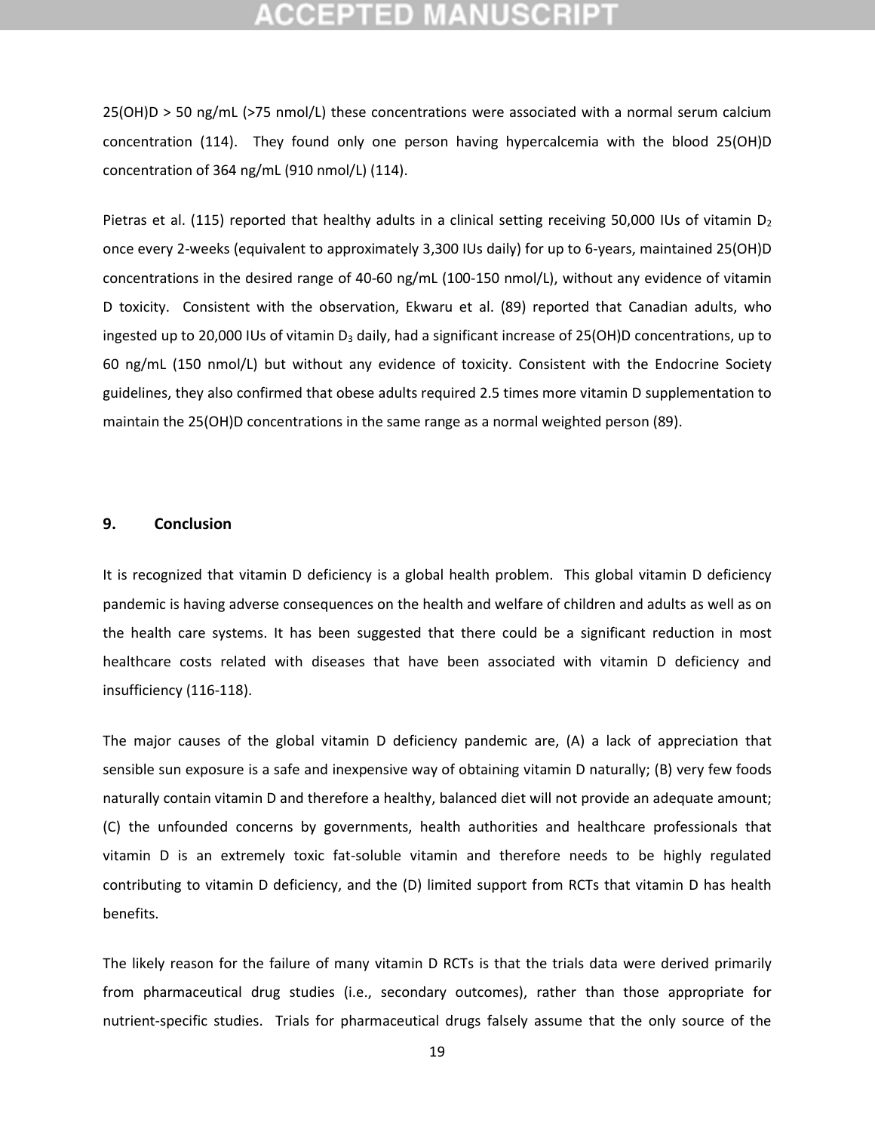### COEPTED

25(OH)D > 50 ng/mL (>75 nmol/L) these concentrations were associated with a normal serum calcium concentration (114). They found only one person having hypercalcemia with the blood 25(OH)D concentration of 364 ng/mL (910 nmol/L) (114).

Pietras et al. (115) reported that healthy adults in a clinical setting receiving 50,000 IUs of vitamin  $D_2$ once every 2-weeks (equivalent to approximately 3,300 IUs daily) for up to 6-years, maintained 25(OH)D concentrations in the desired range of 40-60 ng/mL (100-150 nmol/L), without any evidence of vitamin D toxicity. Consistent with the observation, Ekwaru et al. (89) reported that Canadian adults, who ingested up to 20,000 IUs of vitamin  $D_3$  daily, had a significant increase of 25(OH)D concentrations, up to 60 ng/mL (150 nmol/L) but without any evidence of toxicity. Consistent with the Endocrine Society guidelines, they also confirmed that obese adults required 2.5 times more vitamin D supplementation to maintain the 25(OH)D concentrations in the same range as a normal weighted person (89).

#### **9. Conclusion**

It is recognized that vitamin D deficiency is a global health problem. This global vitamin D deficiency pandemic is having adverse consequences on the health and welfare of children and adults as well as on the health care systems. It has been suggested that there could be a significant reduction in most healthcare costs related with diseases that have been associated with vitamin D deficiency and insufficiency (116-118).

The major causes of the global vitamin D deficiency pandemic are, (A) a lack of appreciation that sensible sun exposure is a safe and inexpensive way of obtaining vitamin D naturally; (B) very few foods naturally contain vitamin D and therefore a healthy, balanced diet will not provide an adequate amount; (C) the unfounded concerns by governments, health authorities and healthcare professionals that vitamin D is an extremely toxic fat-soluble vitamin and therefore needs to be highly regulated contributing to vitamin D deficiency, and the (D) limited support from RCTs that vitamin D has health benefits.

The likely reason for the failure of many vitamin D RCTs is that the trials data were derived primarily from pharmaceutical drug studies (i.e., secondary outcomes), rather than those appropriate for nutrient-specific studies. Trials for pharmaceutical drugs falsely assume that the only source of the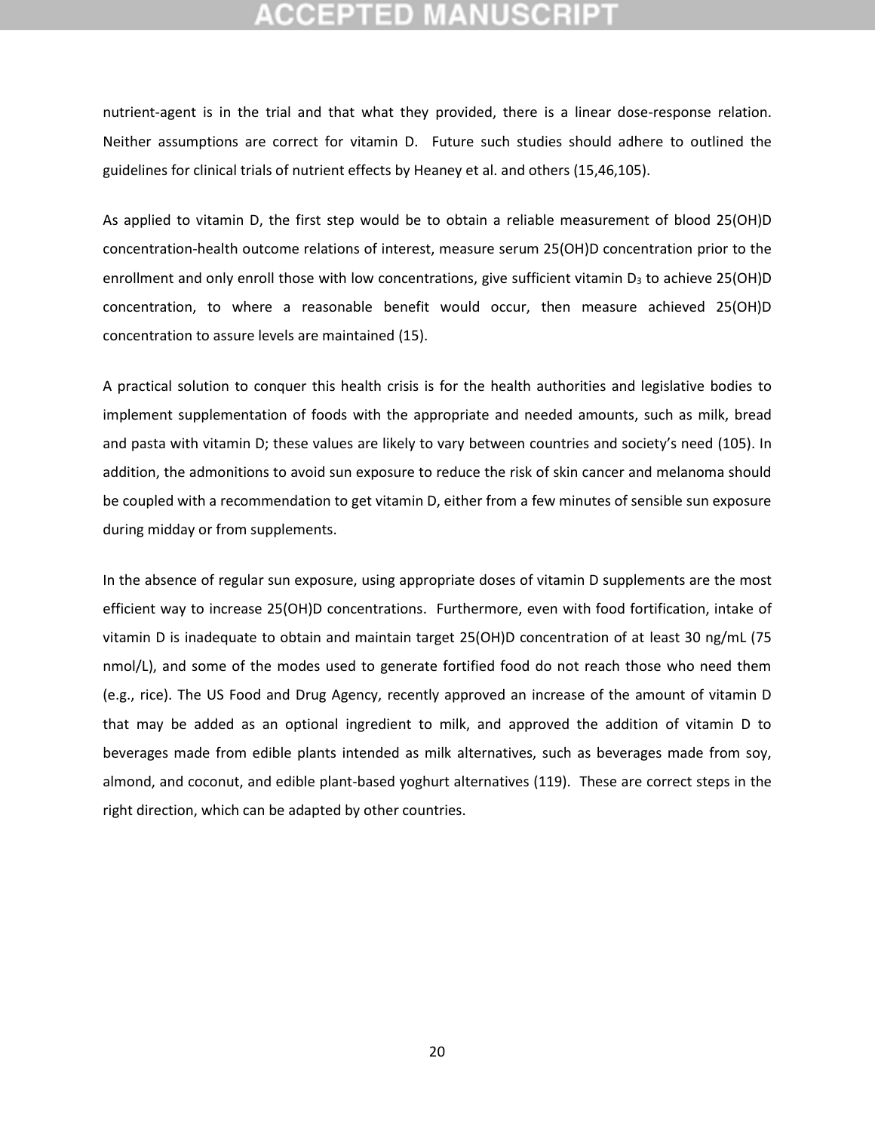nutrient-agent is in the trial and that what they provided, there is a linear dose-response relation. Neither assumptions are correct for vitamin D. Future such studies should adhere to outlined the guidelines for clinical trials of nutrient effects by Heaney et al. and others (15,46,105).

As applied to vitamin D, the first step would be to obtain a reliable measurement of blood 25(OH)D concentration-health outcome relations of interest, measure serum 25(OH)D concentration prior to the enrollment and only enroll those with low concentrations, give sufficient vitamin  $D_3$  to achieve 25(OH)D concentration, to where a reasonable benefit would occur, then measure achieved 25(OH)D concentration to assure levels are maintained (15).

A practical solution to conquer this health crisis is for the health authorities and legislative bodies to implement supplementation of foods with the appropriate and needed amounts, such as milk, bread and pasta with vitamin D; these values are likely to vary between countries and society's need (105). In addition, the admonitions to avoid sun exposure to reduce the risk of skin cancer and melanoma should be coupled with a recommendation to get vitamin D, either from a few minutes of sensible sun exposure during midday or from supplements.

In the absence of regular sun exposure, using appropriate doses of vitamin D supplements are the most efficient way to increase 25(OH)D concentrations. Furthermore, even with food fortification, intake of vitamin D is inadequate to obtain and maintain target 25(OH)D concentration of at least 30 ng/mL (75 nmol/L), and some of the modes used to generate fortified food do not reach those who need them (e.g., rice). The US Food and Drug Agency, recently approved an increase of the amount of vitamin D that may be added as an optional ingredient to milk, and approved the addition of vitamin D to beverages made from edible plants intended as milk alternatives, such as beverages made from soy, almond, and coconut, and edible plant-based yoghurt alternatives (119). These are correct steps in the right direction, which can be adapted by other countries.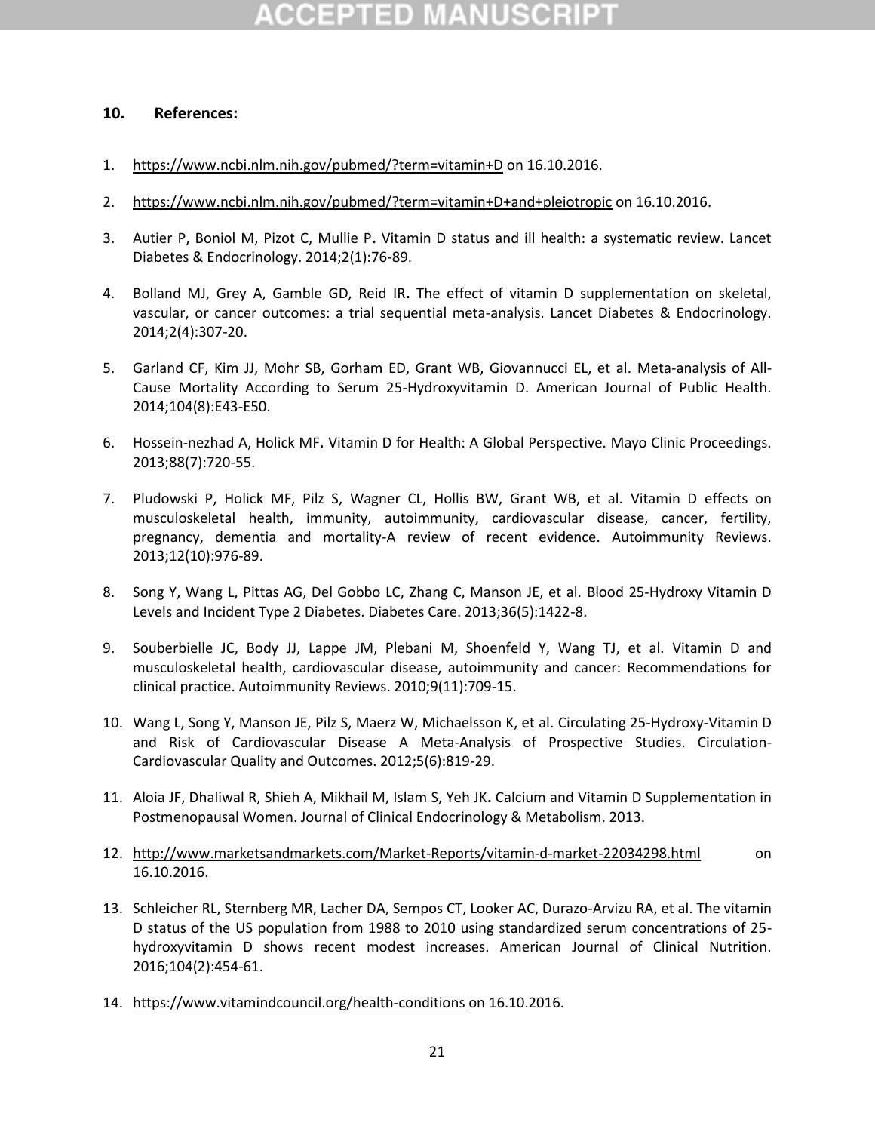## CGEPTED MA

### **10. References:**

- 1. <https://www.ncbi.nlm.nih.gov/pubmed/?term=vitamin+D> on 16.10.2016.
- 2. <https://www.ncbi.nlm.nih.gov/pubmed/?term=vitamin+D+and+pleiotropic> on 16.10.2016.
- 3. Autier P, Boniol M, Pizot C, Mullie P**.** Vitamin D status and ill health: a systematic review. Lancet Diabetes & Endocrinology. 2014;2(1):76-89.
- 4. Bolland MJ, Grey A, Gamble GD, Reid IR**.** The effect of vitamin D supplementation on skeletal, vascular, or cancer outcomes: a trial sequential meta-analysis. Lancet Diabetes & Endocrinology. 2014;2(4):307-20.
- 5. Garland CF, Kim JJ, Mohr SB, Gorham ED, Grant WB, Giovannucci EL, et al. Meta-analysis of All-Cause Mortality According to Serum 25-Hydroxyvitamin D. American Journal of Public Health. 2014;104(8):E43-E50.
- 6. Hossein-nezhad A, Holick MF**.** Vitamin D for Health: A Global Perspective. Mayo Clinic Proceedings. 2013;88(7):720-55.
- 7. Pludowski P, Holick MF, Pilz S, Wagner CL, Hollis BW, Grant WB, et al. Vitamin D effects on musculoskeletal health, immunity, autoimmunity, cardiovascular disease, cancer, fertility, pregnancy, dementia and mortality-A review of recent evidence. Autoimmunity Reviews. 2013;12(10):976-89.
- 8. Song Y, Wang L, Pittas AG, Del Gobbo LC, Zhang C, Manson JE, et al. Blood 25-Hydroxy Vitamin D Levels and Incident Type 2 Diabetes. Diabetes Care. 2013;36(5):1422-8.
- 9. Souberbielle JC, Body JJ, Lappe JM, Plebani M, Shoenfeld Y, Wang TJ, et al. Vitamin D and musculoskeletal health, cardiovascular disease, autoimmunity and cancer: Recommendations for clinical practice. Autoimmunity Reviews. 2010;9(11):709-15.
- 10. Wang L, Song Y, Manson JE, Pilz S, Maerz W, Michaelsson K, et al. Circulating 25-Hydroxy-Vitamin D and Risk of Cardiovascular Disease A Meta-Analysis of Prospective Studies. Circulation-Cardiovascular Quality and Outcomes. 2012;5(6):819-29.
- 11. Aloia JF, Dhaliwal R, Shieh A, Mikhail M, Islam S, Yeh JK**.** Calcium and Vitamin D Supplementation in Postmenopausal Women. Journal of Clinical Endocrinology & Metabolism. 2013.
- 12. <http://www.marketsandmarkets.com/Market-Reports/vitamin-d-market-22034298.html> on 16.10.2016.
- 13. Schleicher RL, Sternberg MR, Lacher DA, Sempos CT, Looker AC, Durazo-Arvizu RA, et al. The vitamin D status of the US population from 1988 to 2010 using standardized serum concentrations of 25 hydroxyvitamin D shows recent modest increases. American Journal of Clinical Nutrition. 2016;104(2):454-61.
- 14. <https://www.vitamindcouncil.org/health-conditions> on 16.10.2016.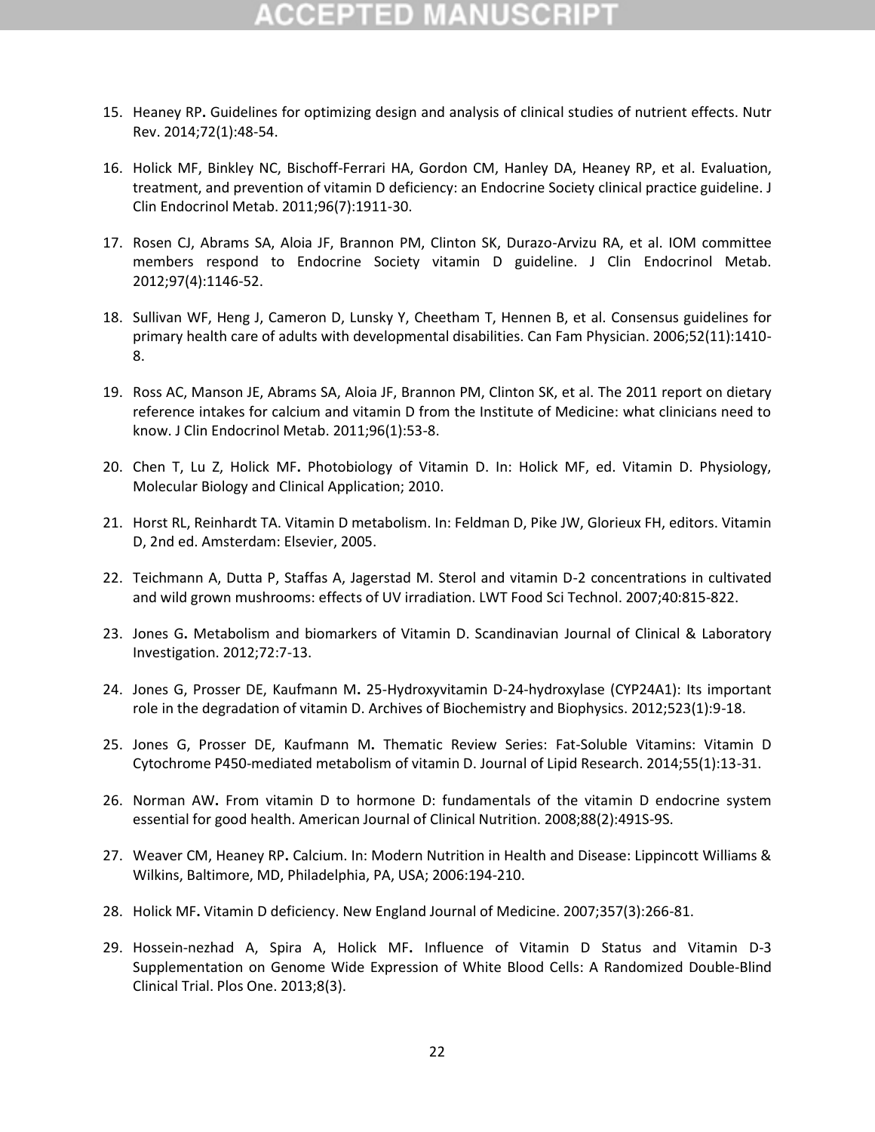### (CEPTED)

- 15. Heaney RP**.** Guidelines for optimizing design and analysis of clinical studies of nutrient effects. Nutr Rev. 2014;72(1):48-54.
- 16. Holick MF, Binkley NC, Bischoff-Ferrari HA, Gordon CM, Hanley DA, Heaney RP, et al. Evaluation, treatment, and prevention of vitamin D deficiency: an Endocrine Society clinical practice guideline. J Clin Endocrinol Metab. 2011;96(7):1911-30.
- 17. Rosen CJ, Abrams SA, Aloia JF, Brannon PM, Clinton SK, Durazo-Arvizu RA, et al. IOM committee members respond to Endocrine Society vitamin D guideline. J Clin Endocrinol Metab. 2012;97(4):1146-52.
- 18. Sullivan WF, Heng J, Cameron D, Lunsky Y, Cheetham T, Hennen B, et al. Consensus guidelines for primary health care of adults with developmental disabilities. Can Fam Physician. 2006;52(11):1410- 8.
- 19. Ross AC, Manson JE, Abrams SA, Aloia JF, Brannon PM, Clinton SK, et al. The 2011 report on dietary reference intakes for calcium and vitamin D from the Institute of Medicine: what clinicians need to know. J Clin Endocrinol Metab. 2011;96(1):53-8.
- 20. Chen T, Lu Z, Holick MF**.** Photobiology of Vitamin D. In: Holick MF, ed. Vitamin D. Physiology, Molecular Biology and Clinical Application; 2010.
- 21. Horst RL, Reinhardt TA. Vitamin D metabolism. In: Feldman D, Pike JW, Glorieux FH, editors. Vitamin D, 2nd ed. Amsterdam: Elsevier, 2005.
- 22. Teichmann A, Dutta P, Staffas A, Jagerstad M. Sterol and vitamin D-2 concentrations in cultivated and wild grown mushrooms: effects of UV irradiation. LWT Food Sci Technol. 2007;40:815-822.
- 23. Jones G**.** Metabolism and biomarkers of Vitamin D. Scandinavian Journal of Clinical & Laboratory Investigation. 2012;72:7-13.
- 24. Jones G, Prosser DE, Kaufmann M**.** 25-Hydroxyvitamin D-24-hydroxylase (CYP24A1): Its important role in the degradation of vitamin D. Archives of Biochemistry and Biophysics. 2012;523(1):9-18.
- 25. Jones G, Prosser DE, Kaufmann M**.** Thematic Review Series: Fat-Soluble Vitamins: Vitamin D Cytochrome P450-mediated metabolism of vitamin D. Journal of Lipid Research. 2014;55(1):13-31.
- 26. Norman AW**.** From vitamin D to hormone D: fundamentals of the vitamin D endocrine system essential for good health. American Journal of Clinical Nutrition. 2008;88(2):491S-9S.
- 27. Weaver CM, Heaney RP**.** Calcium. In: Modern Nutrition in Health and Disease: Lippincott Williams & Wilkins, Baltimore, MD, Philadelphia, PA, USA; 2006:194-210.
- 28. Holick MF**.** Vitamin D deficiency. New England Journal of Medicine. 2007;357(3):266-81.
- 29. Hossein-nezhad A, Spira A, Holick MF**.** Influence of Vitamin D Status and Vitamin D-3 Supplementation on Genome Wide Expression of White Blood Cells: A Randomized Double-Blind Clinical Trial. Plos One. 2013;8(3).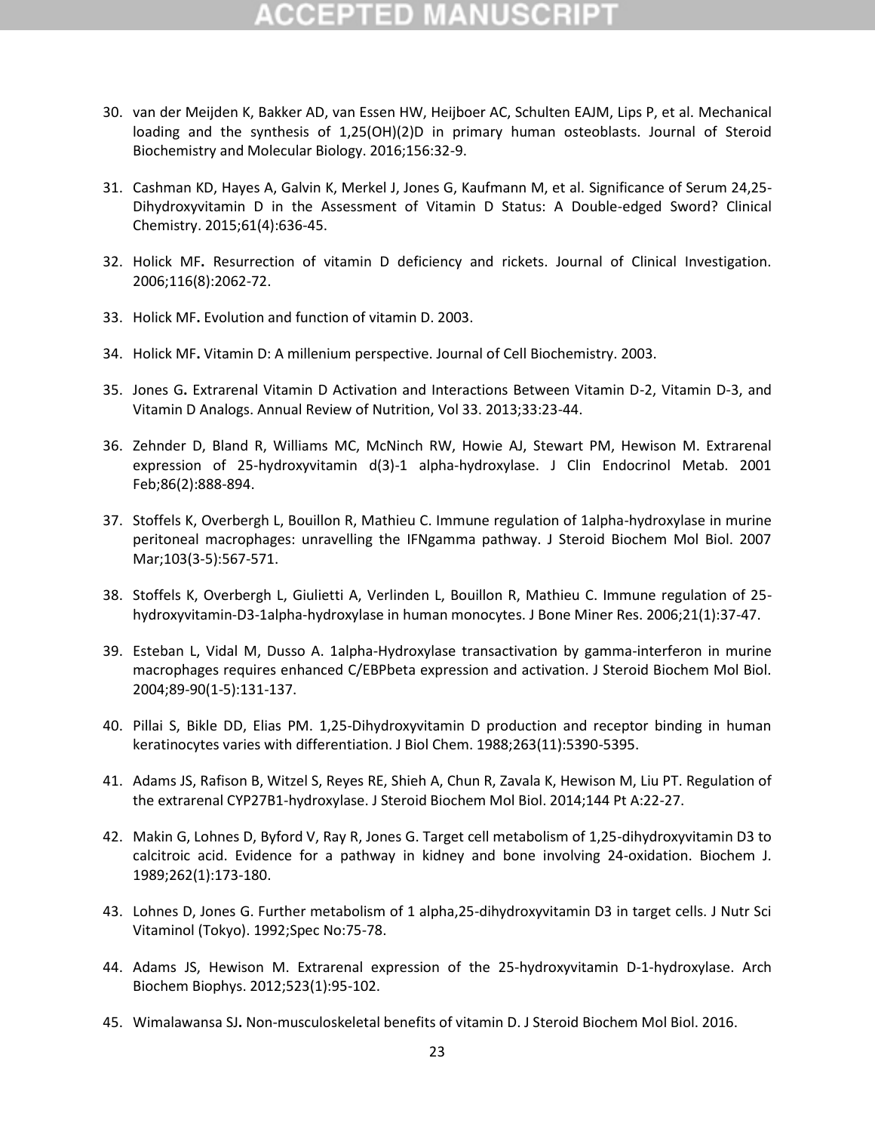## (CEPTED)

- 30. van der Meijden K, Bakker AD, van Essen HW, Heijboer AC, Schulten EAJM, Lips P, et al. Mechanical loading and the synthesis of 1,25(OH)(2)D in primary human osteoblasts. Journal of Steroid Biochemistry and Molecular Biology. 2016;156:32-9.
- 31. Cashman KD, Hayes A, Galvin K, Merkel J, Jones G, Kaufmann M, et al. Significance of Serum 24,25- Dihydroxyvitamin D in the Assessment of Vitamin D Status: A Double-edged Sword? Clinical Chemistry. 2015;61(4):636-45.
- 32. Holick MF**.** Resurrection of vitamin D deficiency and rickets. Journal of Clinical Investigation. 2006;116(8):2062-72.
- 33. Holick MF**.** Evolution and function of vitamin D. 2003.
- 34. Holick MF**.** Vitamin D: A millenium perspective. Journal of Cell Biochemistry. 2003.
- 35. Jones G**.** Extrarenal Vitamin D Activation and Interactions Between Vitamin D-2, Vitamin D-3, and Vitamin D Analogs. Annual Review of Nutrition, Vol 33. 2013;33:23-44.
- 36. Zehnder D, Bland R, Williams MC, McNinch RW, Howie AJ, Stewart PM, Hewison M. Extrarenal expression of 25-hydroxyvitamin d(3)-1 alpha-hydroxylase. J Clin Endocrinol Metab. 2001 Feb;86(2):888-894.
- 37. Stoffels K, Overbergh L, Bouillon R, Mathieu C. Immune regulation of 1alpha-hydroxylase in murine peritoneal macrophages: unravelling the IFNgamma pathway. J Steroid Biochem Mol Biol. 2007 Mar;103(3-5):567-571.
- 38. Stoffels K, Overbergh L, Giulietti A, Verlinden L, Bouillon R, Mathieu C. Immune regulation of 25 hydroxyvitamin-D3-1alpha-hydroxylase in human monocytes. J Bone Miner Res. 2006;21(1):37-47.
- 39. Esteban L, Vidal M, Dusso A. 1alpha-Hydroxylase transactivation by gamma-interferon in murine macrophages requires enhanced C/EBPbeta expression and activation. J Steroid Biochem Mol Biol. 2004;89-90(1-5):131-137.
- 40. Pillai S, Bikle DD, Elias PM. 1,25-Dihydroxyvitamin D production and receptor binding in human keratinocytes varies with differentiation. J Biol Chem. 1988;263(11):5390-5395.
- 41. Adams JS, Rafison B, Witzel S, Reyes RE, Shieh A, Chun R, Zavala K, Hewison M, Liu PT. Regulation of the extrarenal CYP27B1-hydroxylase. J Steroid Biochem Mol Biol. 2014;144 Pt A:22-27.
- 42. Makin G, Lohnes D, Byford V, Ray R, Jones G. Target cell metabolism of 1,25-dihydroxyvitamin D3 to calcitroic acid. Evidence for a pathway in kidney and bone involving 24-oxidation. Biochem J. 1989;262(1):173-180.
- 43. Lohnes D, Jones G. Further metabolism of 1 alpha,25-dihydroxyvitamin D3 in target cells. J Nutr Sci Vitaminol (Tokyo). 1992;Spec No:75-78.
- 44. Adams JS, Hewison M. Extrarenal expression of the 25-hydroxyvitamin D-1-hydroxylase. Arch Biochem Biophys. 2012;523(1):95-102.
- 45. Wimalawansa SJ**.** Non-musculoskeletal benefits of vitamin D. J Steroid Biochem Mol Biol. 2016.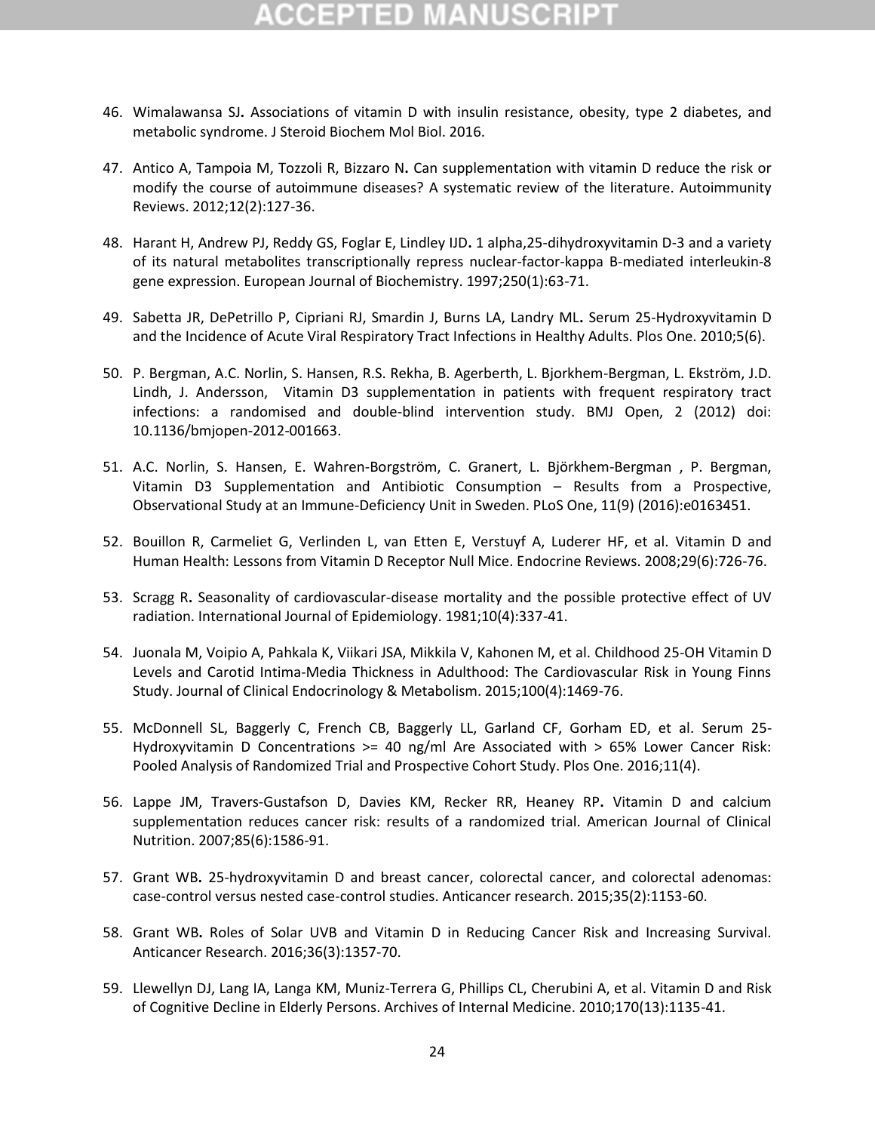- 46. Wimalawansa SJ**.** Associations of vitamin D with insulin resistance, obesity, type 2 diabetes, and metabolic syndrome. J Steroid Biochem Mol Biol. 2016.
- 47. Antico A, Tampoia M, Tozzoli R, Bizzaro N**.** Can supplementation with vitamin D reduce the risk or modify the course of autoimmune diseases? A systematic review of the literature. Autoimmunity Reviews. 2012;12(2):127-36.
- 48. Harant H, Andrew PJ, Reddy GS, Foglar E, Lindley IJD**.** 1 alpha,25-dihydroxyvitamin D-3 and a variety of its natural metabolites transcriptionally repress nuclear-factor-kappa B-mediated interleukin-8 gene expression. European Journal of Biochemistry. 1997;250(1):63-71.
- 49. Sabetta JR, DePetrillo P, Cipriani RJ, Smardin J, Burns LA, Landry ML**.** Serum 25-Hydroxyvitamin D and the Incidence of Acute Viral Respiratory Tract Infections in Healthy Adults. Plos One. 2010;5(6).
- 50. P. Bergman, A.C. Norlin, S. Hansen, R.S. Rekha, B. Agerberth, L. Bjorkhem-Bergman, L. Ekström, J.D. Lindh, J. Andersson, Vitamin D3 supplementation in patients with frequent respiratory tract infections: a randomised and double-blind intervention study. BMJ Open, 2 (2012) doi: 10.1136/bmjopen-2012-001663.
- 51. A.C. Norlin, S. Hansen, E. Wahren-Borgström, C. Granert, L. Björkhem-Bergman , P. Bergman, Vitamin D3 Supplementation and Antibiotic Consumption – Results from a Prospective, Observational Study at an Immune-Deficiency Unit in Sweden. PLoS One, 11(9) (2016):e0163451.
- 52. Bouillon R, Carmeliet G, Verlinden L, van Etten E, Verstuyf A, Luderer HF, et al. Vitamin D and Human Health: Lessons from Vitamin D Receptor Null Mice. Endocrine Reviews. 2008;29(6):726-76.
- 53. Scragg R**.** Seasonality of cardiovascular-disease mortality and the possible protective effect of UV radiation. International Journal of Epidemiology. 1981;10(4):337-41.
- 54. Juonala M, Voipio A, Pahkala K, Viikari JSA, Mikkila V, Kahonen M, et al. Childhood 25-OH Vitamin D Levels and Carotid Intima-Media Thickness in Adulthood: The Cardiovascular Risk in Young Finns Study. Journal of Clinical Endocrinology & Metabolism. 2015;100(4):1469-76.
- 55. McDonnell SL, Baggerly C, French CB, Baggerly LL, Garland CF, Gorham ED, et al. Serum 25- Hydroxyvitamin D Concentrations >= 40 ng/ml Are Associated with > 65% Lower Cancer Risk: Pooled Analysis of Randomized Trial and Prospective Cohort Study. Plos One. 2016;11(4).
- 56. Lappe JM, Travers-Gustafson D, Davies KM, Recker RR, Heaney RP**.** Vitamin D and calcium supplementation reduces cancer risk: results of a randomized trial. American Journal of Clinical Nutrition. 2007;85(6):1586-91.
- 57. Grant WB**.** 25-hydroxyvitamin D and breast cancer, colorectal cancer, and colorectal adenomas: case-control versus nested case-control studies. Anticancer research. 2015;35(2):1153-60.
- 58. Grant WB**.** Roles of Solar UVB and Vitamin D in Reducing Cancer Risk and Increasing Survival. Anticancer Research. 2016;36(3):1357-70.
- 59. Llewellyn DJ, Lang IA, Langa KM, Muniz-Terrera G, Phillips CL, Cherubini A, et al. Vitamin D and Risk of Cognitive Decline in Elderly Persons. Archives of Internal Medicine. 2010;170(13):1135-41.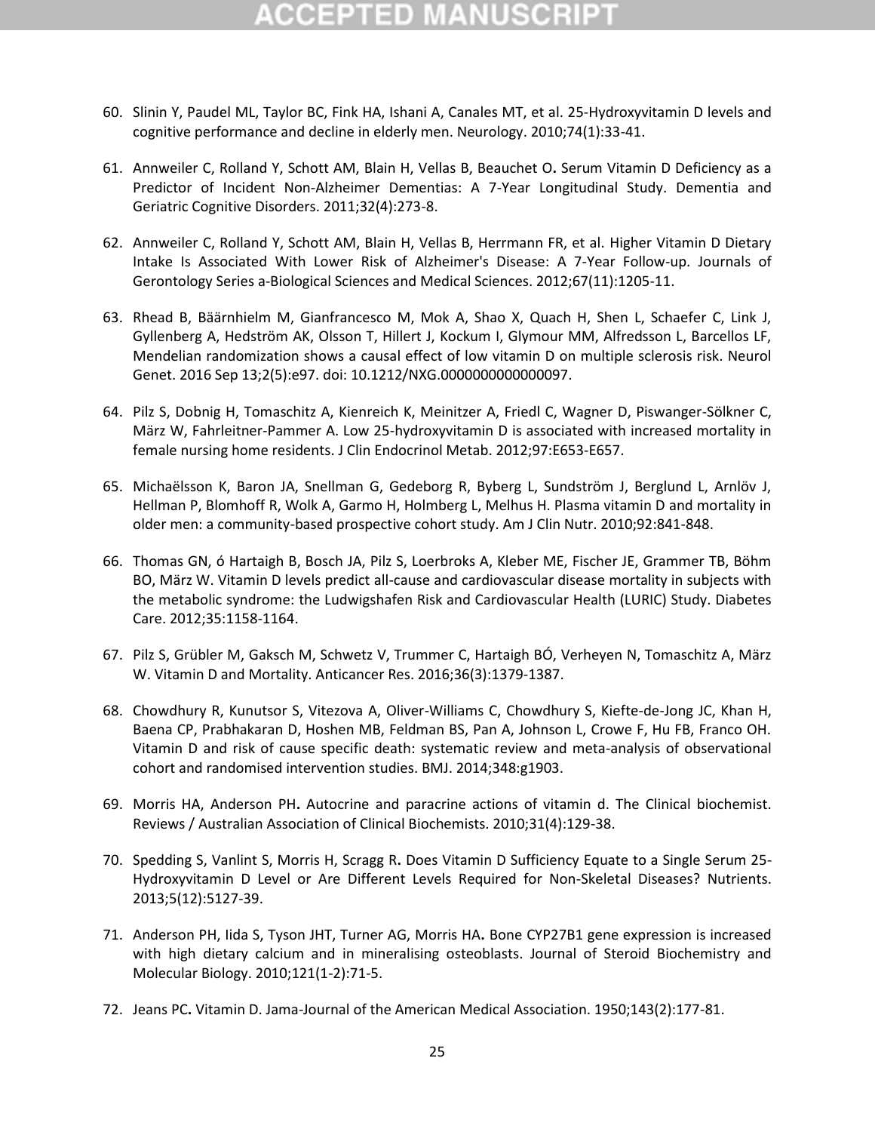## CCEPTED MAN

- 60. Slinin Y, Paudel ML, Taylor BC, Fink HA, Ishani A, Canales MT, et al. 25-Hydroxyvitamin D levels and cognitive performance and decline in elderly men. Neurology. 2010;74(1):33-41.
- 61. Annweiler C, Rolland Y, Schott AM, Blain H, Vellas B, Beauchet O**.** Serum Vitamin D Deficiency as a Predictor of Incident Non-Alzheimer Dementias: A 7-Year Longitudinal Study. Dementia and Geriatric Cognitive Disorders. 2011;32(4):273-8.
- 62. Annweiler C, Rolland Y, Schott AM, Blain H, Vellas B, Herrmann FR, et al. Higher Vitamin D Dietary Intake Is Associated With Lower Risk of Alzheimer's Disease: A 7-Year Follow-up. Journals of Gerontology Series a-Biological Sciences and Medical Sciences. 2012;67(11):1205-11.
- 63. Rhead B, Bäärnhielm M, Gianfrancesco M, Mok A, Shao X, Quach H, Shen L, Schaefer C, Link J, Gyllenberg A, Hedström AK, Olsson T, Hillert J, Kockum I, Glymour MM, Alfredsson L, Barcellos LF, Mendelian randomization shows a causal effect of low vitamin D on multiple sclerosis risk. Neurol Genet. 2016 Sep 13;2(5):e97. doi: 10.1212/NXG.0000000000000097.
- 64. Pilz S, Dobnig H, Tomaschitz A, Kienreich K, Meinitzer A, Friedl C, Wagner D, Piswanger-Sölkner C, März W, Fahrleitner-Pammer A. Low 25-hydroxyvitamin D is associated with increased mortality in female nursing home residents. J Clin Endocrinol Metab. 2012;97:E653-E657.
- 65. Michaëlsson K, Baron JA, Snellman G, Gedeborg R, Byberg L, Sundström J, Berglund L, Arnlöv J, Hellman P, Blomhoff R, Wolk A, Garmo H, Holmberg L, Melhus H. Plasma vitamin D and mortality in older men: a community-based prospective cohort study. Am J Clin Nutr. 2010;92:841-848.
- 66. Thomas GN, ó Hartaigh B, Bosch JA, Pilz S, Loerbroks A, Kleber ME, Fischer JE, Grammer TB, Böhm BO, März W. Vitamin D levels predict all-cause and cardiovascular disease mortality in subjects with the metabolic syndrome: the Ludwigshafen Risk and Cardiovascular Health (LURIC) Study. Diabetes Care. 2012;35:1158-1164.
- 67. Pilz S, Grübler M, Gaksch M, Schwetz V, Trummer C, Hartaigh BÓ, Verheyen N, Tomaschitz A, März W. Vitamin D and Mortality. Anticancer Res. 2016;36(3):1379-1387.
- 68. Chowdhury R, Kunutsor S, Vitezova A, Oliver-Williams C, Chowdhury S, Kiefte-de-Jong JC, Khan H, Baena CP, Prabhakaran D, Hoshen MB, Feldman BS, Pan A, Johnson L, Crowe F, Hu FB, Franco OH. Vitamin D and risk of cause specific death: systematic review and meta-analysis of observational cohort and randomised intervention studies. BMJ. 2014;348:g1903.
- 69. Morris HA, Anderson PH**.** Autocrine and paracrine actions of vitamin d. The Clinical biochemist. Reviews / Australian Association of Clinical Biochemists. 2010;31(4):129-38.
- 70. Spedding S, Vanlint S, Morris H, Scragg R**.** Does Vitamin D Sufficiency Equate to a Single Serum 25- Hydroxyvitamin D Level or Are Different Levels Required for Non-Skeletal Diseases? Nutrients. 2013;5(12):5127-39.
- 71. Anderson PH, Iida S, Tyson JHT, Turner AG, Morris HA**.** Bone CYP27B1 gene expression is increased with high dietary calcium and in mineralising osteoblasts. Journal of Steroid Biochemistry and Molecular Biology. 2010;121(1-2):71-5.
- 72. Jeans PC**.** Vitamin D. Jama-Journal of the American Medical Association. 1950;143(2):177-81.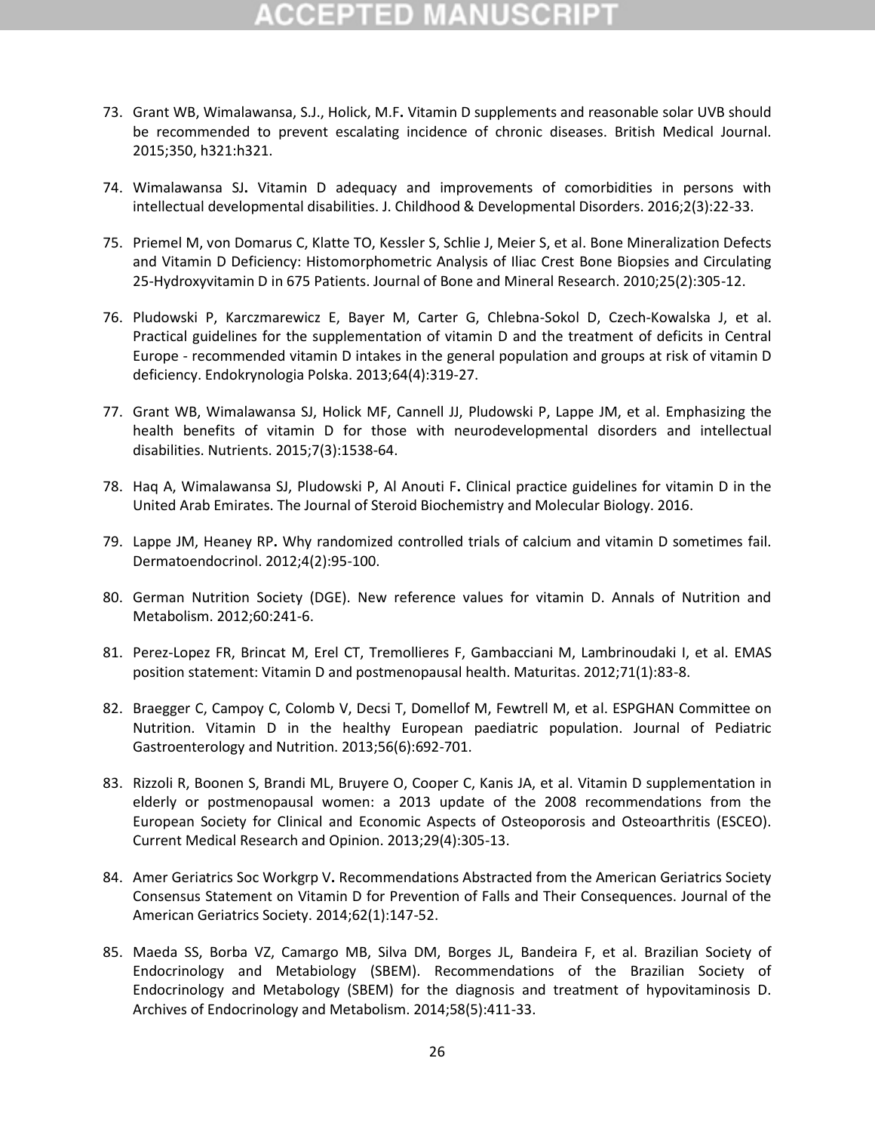## CCEPTED MANUSCR

- 73. Grant WB, Wimalawansa, S.J., Holick, M.F**.** Vitamin D supplements and reasonable solar UVB should be recommended to prevent escalating incidence of chronic diseases. British Medical Journal. 2015;350, h321:h321.
- 74. Wimalawansa SJ**.** Vitamin D adequacy and improvements of comorbidities in persons with intellectual developmental disabilities. J. Childhood & Developmental Disorders. 2016;2(3):22-33.
- 75. Priemel M, von Domarus C, Klatte TO, Kessler S, Schlie J, Meier S, et al. Bone Mineralization Defects and Vitamin D Deficiency: Histomorphometric Analysis of Iliac Crest Bone Biopsies and Circulating 25-Hydroxyvitamin D in 675 Patients. Journal of Bone and Mineral Research. 2010;25(2):305-12.
- 76. Pludowski P, Karczmarewicz E, Bayer M, Carter G, Chlebna-Sokol D, Czech-Kowalska J, et al. Practical guidelines for the supplementation of vitamin D and the treatment of deficits in Central Europe - recommended vitamin D intakes in the general population and groups at risk of vitamin D deficiency. Endokrynologia Polska. 2013;64(4):319-27.
- 77. Grant WB, Wimalawansa SJ, Holick MF, Cannell JJ, Pludowski P, Lappe JM, et al. Emphasizing the health benefits of vitamin D for those with neurodevelopmental disorders and intellectual disabilities. Nutrients. 2015;7(3):1538-64.
- 78. Haq A, Wimalawansa SJ, Pludowski P, Al Anouti F**.** Clinical practice guidelines for vitamin D in the United Arab Emirates. The Journal of Steroid Biochemistry and Molecular Biology. 2016.
- 79. Lappe JM, Heaney RP**.** Why randomized controlled trials of calcium and vitamin D sometimes fail. Dermatoendocrinol. 2012;4(2):95-100.
- 80. German Nutrition Society (DGE). New reference values for vitamin D. Annals of Nutrition and Metabolism. 2012;60:241-6.
- 81. Perez-Lopez FR, Brincat M, Erel CT, Tremollieres F, Gambacciani M, Lambrinoudaki I, et al. EMAS position statement: Vitamin D and postmenopausal health. Maturitas. 2012;71(1):83-8.
- 82. Braegger C, Campoy C, Colomb V, Decsi T, Domellof M, Fewtrell M, et al. ESPGHAN Committee on Nutrition. Vitamin D in the healthy European paediatric population. Journal of Pediatric Gastroenterology and Nutrition. 2013;56(6):692-701.
- 83. Rizzoli R, Boonen S, Brandi ML, Bruyere O, Cooper C, Kanis JA, et al. Vitamin D supplementation in elderly or postmenopausal women: a 2013 update of the 2008 recommendations from the European Society for Clinical and Economic Aspects of Osteoporosis and Osteoarthritis (ESCEO). Current Medical Research and Opinion. 2013;29(4):305-13.
- 84. Amer Geriatrics Soc Workgrp V**.** Recommendations Abstracted from the American Geriatrics Society Consensus Statement on Vitamin D for Prevention of Falls and Their Consequences. Journal of the American Geriatrics Society. 2014;62(1):147-52.
- 85. Maeda SS, Borba VZ, Camargo MB, Silva DM, Borges JL, Bandeira F, et al. Brazilian Society of Endocrinology and Metabiology (SBEM). Recommendations of the Brazilian Society of Endocrinology and Metabology (SBEM) for the diagnosis and treatment of hypovitaminosis D. Archives of Endocrinology and Metabolism. 2014;58(5):411-33.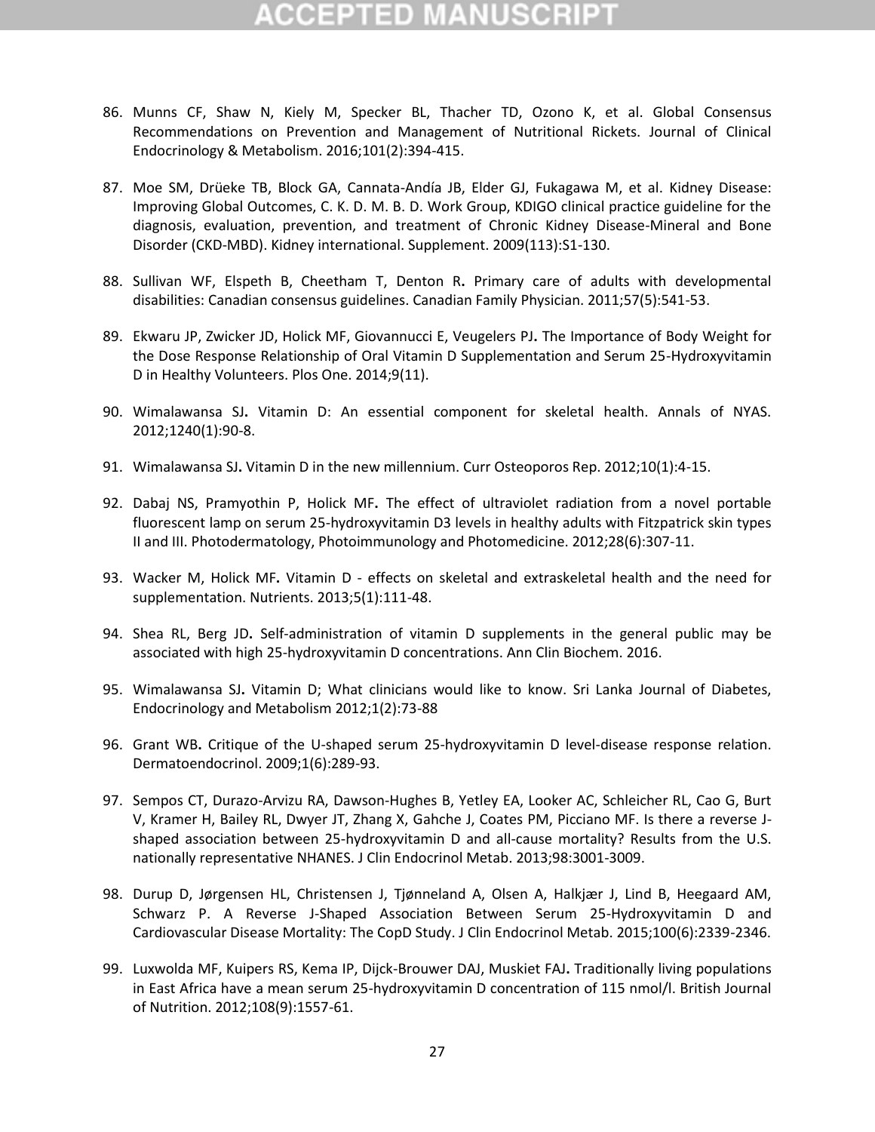## :CEPTED M

- 86. Munns CF, Shaw N, Kiely M, Specker BL, Thacher TD, Ozono K, et al. Global Consensus Recommendations on Prevention and Management of Nutritional Rickets. Journal of Clinical Endocrinology & Metabolism. 2016;101(2):394-415.
- 87. Moe SM, Drüeke TB, Block GA, Cannata-Andía JB, Elder GJ, Fukagawa M, et al. Kidney Disease: Improving Global Outcomes, C. K. D. M. B. D. Work Group, KDIGO clinical practice guideline for the diagnosis, evaluation, prevention, and treatment of Chronic Kidney Disease-Mineral and Bone Disorder (CKD-MBD). Kidney international. Supplement. 2009(113):S1-130.
- 88. Sullivan WF, Elspeth B, Cheetham T, Denton R**.** Primary care of adults with developmental disabilities: Canadian consensus guidelines. Canadian Family Physician. 2011;57(5):541-53.
- 89. Ekwaru JP, Zwicker JD, Holick MF, Giovannucci E, Veugelers PJ**.** The Importance of Body Weight for the Dose Response Relationship of Oral Vitamin D Supplementation and Serum 25-Hydroxyvitamin D in Healthy Volunteers. Plos One. 2014;9(11).
- 90. Wimalawansa SJ**.** Vitamin D: An essential component for skeletal health. Annals of NYAS. 2012;1240(1):90-8.
- 91. Wimalawansa SJ**.** Vitamin D in the new millennium. Curr Osteoporos Rep. 2012;10(1):4-15.
- 92. Dabaj NS, Pramyothin P, Holick MF**.** The effect of ultraviolet radiation from a novel portable fluorescent lamp on serum 25-hydroxyvitamin D3 levels in healthy adults with Fitzpatrick skin types II and III. Photodermatology, Photoimmunology and Photomedicine. 2012;28(6):307-11.
- 93. Wacker M, Holick MF**.** Vitamin D effects on skeletal and extraskeletal health and the need for supplementation. Nutrients. 2013;5(1):111-48.
- 94. Shea RL, Berg JD**.** Self-administration of vitamin D supplements in the general public may be associated with high 25-hydroxyvitamin D concentrations. Ann Clin Biochem. 2016.
- 95. Wimalawansa SJ**.** Vitamin D; What clinicians would like to know. Sri Lanka Journal of Diabetes, Endocrinology and Metabolism 2012;1(2):73-88
- 96. Grant WB**.** Critique of the U-shaped serum 25-hydroxyvitamin D level-disease response relation. Dermatoendocrinol. 2009;1(6):289-93.
- 97. Sempos CT, Durazo-Arvizu RA, Dawson-Hughes B, Yetley EA, Looker AC, Schleicher RL, Cao G, Burt V, Kramer H, Bailey RL, Dwyer JT, Zhang X, Gahche J, Coates PM, Picciano MF. Is there a reverse Jshaped association between 25-hydroxyvitamin D and all-cause mortality? Results from the U.S. nationally representative NHANES. J Clin Endocrinol Metab. 2013;98:3001-3009.
- 98. Durup D, Jørgensen HL, Christensen J, Tjønneland A, Olsen A, Halkjær J, Lind B, Heegaard AM, Schwarz P. A Reverse J-Shaped Association Between Serum 25-Hydroxyvitamin D and Cardiovascular Disease Mortality: The CopD Study. J Clin Endocrinol Metab. 2015;100(6):2339-2346.
- 99. Luxwolda MF, Kuipers RS, Kema IP, Dijck-Brouwer DAJ, Muskiet FAJ**.** Traditionally living populations in East Africa have a mean serum 25-hydroxyvitamin D concentration of 115 nmol/l. British Journal of Nutrition. 2012;108(9):1557-61.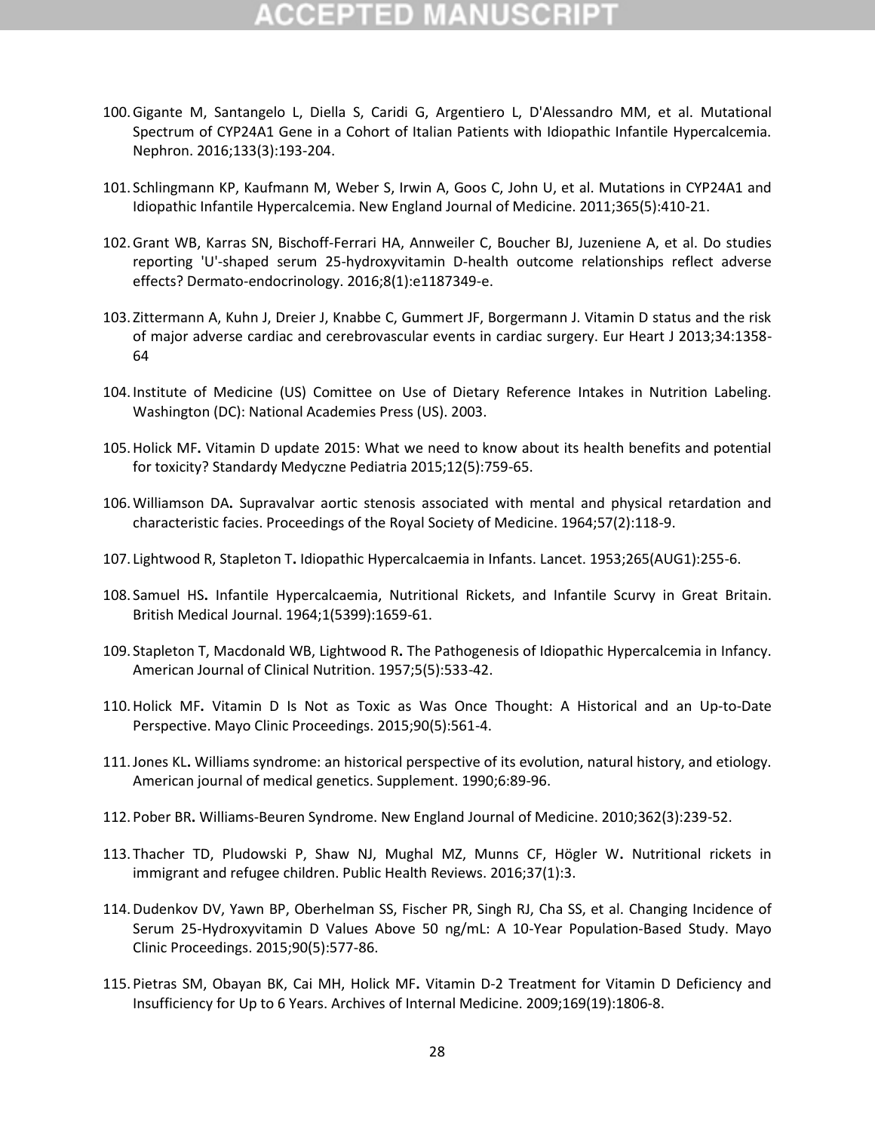## 12 T 2D

- 100.Gigante M, Santangelo L, Diella S, Caridi G, Argentiero L, D'Alessandro MM, et al. Mutational Spectrum of CYP24A1 Gene in a Cohort of Italian Patients with Idiopathic Infantile Hypercalcemia. Nephron. 2016;133(3):193-204.
- 101. Schlingmann KP, Kaufmann M, Weber S, Irwin A, Goos C, John U, et al. Mutations in CYP24A1 and Idiopathic Infantile Hypercalcemia. New England Journal of Medicine. 2011;365(5):410-21.
- 102.Grant WB, Karras SN, Bischoff-Ferrari HA, Annweiler C, Boucher BJ, Juzeniene A, et al. Do studies reporting 'U'-shaped serum 25-hydroxyvitamin D-health outcome relationships reflect adverse effects? Dermato-endocrinology. 2016;8(1):e1187349-e.
- 103. Zittermann A, Kuhn J, Dreier J, Knabbe C, Gummert JF, Borgermann J. Vitamin D status and the risk of major adverse cardiac and cerebrovascular events in cardiac surgery. Eur Heart J 2013;34:1358- 64
- 104. Institute of Medicine (US) Comittee on Use of Dietary Reference Intakes in Nutrition Labeling. Washington (DC): National Academies Press (US). 2003.
- 105.Holick MF**.** Vitamin D update 2015: What we need to know about its health benefits and potential for toxicity? Standardy Medyczne Pediatria 2015;12(5):759-65.
- 106.Williamson DA**.** Supravalvar aortic stenosis associated with mental and physical retardation and characteristic facies. Proceedings of the Royal Society of Medicine. 1964;57(2):118-9.
- 107. Lightwood R, Stapleton T**.** Idiopathic Hypercalcaemia in Infants. Lancet. 1953;265(AUG1):255-6.
- 108. Samuel HS**.** Infantile Hypercalcaemia, Nutritional Rickets, and Infantile Scurvy in Great Britain. British Medical Journal. 1964;1(5399):1659-61.
- 109. Stapleton T, Macdonald WB, Lightwood R**.** The Pathogenesis of Idiopathic Hypercalcemia in Infancy. American Journal of Clinical Nutrition. 1957;5(5):533-42.
- 110.Holick MF**.** Vitamin D Is Not as Toxic as Was Once Thought: A Historical and an Up-to-Date Perspective. Mayo Clinic Proceedings. 2015;90(5):561-4.
- 111.Jones KL**.** Williams syndrome: an historical perspective of its evolution, natural history, and etiology. American journal of medical genetics. Supplement. 1990;6:89-96.
- 112.Pober BR**.** Williams-Beuren Syndrome. New England Journal of Medicine. 2010;362(3):239-52.
- 113. Thacher TD, Pludowski P, Shaw NJ, Mughal MZ, Munns CF, Högler W**.** Nutritional rickets in immigrant and refugee children. Public Health Reviews. 2016;37(1):3.
- 114.Dudenkov DV, Yawn BP, Oberhelman SS, Fischer PR, Singh RJ, Cha SS, et al. Changing Incidence of Serum 25-Hydroxyvitamin D Values Above 50 ng/mL: A 10-Year Population-Based Study. Mayo Clinic Proceedings. 2015;90(5):577-86.
- 115.Pietras SM, Obayan BK, Cai MH, Holick MF**.** Vitamin D-2 Treatment for Vitamin D Deficiency and Insufficiency for Up to 6 Years. Archives of Internal Medicine. 2009;169(19):1806-8.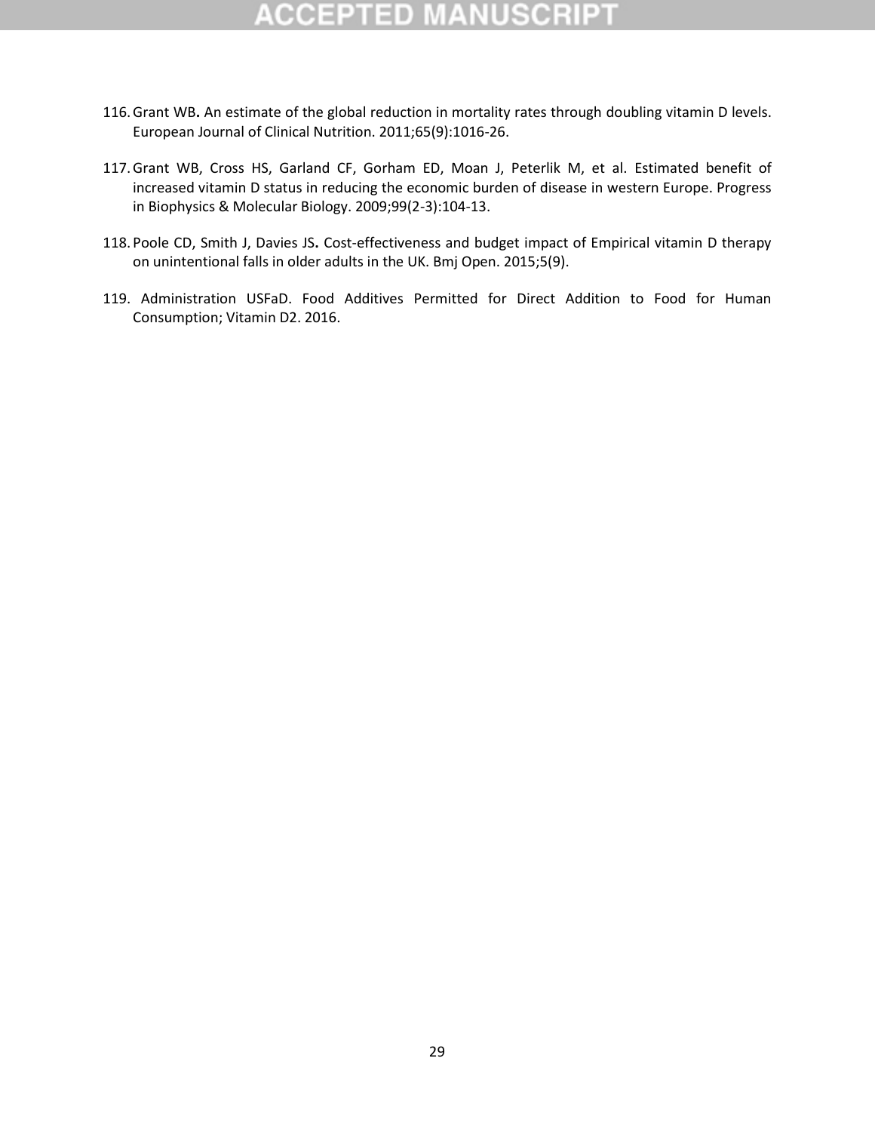## 12 TED

- 116.Grant WB**.** An estimate of the global reduction in mortality rates through doubling vitamin D levels. European Journal of Clinical Nutrition. 2011;65(9):1016-26.
- 117.Grant WB, Cross HS, Garland CF, Gorham ED, Moan J, Peterlik M, et al. Estimated benefit of increased vitamin D status in reducing the economic burden of disease in western Europe. Progress in Biophysics & Molecular Biology. 2009;99(2-3):104-13.
- 118.Poole CD, Smith J, Davies JS**.** Cost-effectiveness and budget impact of Empirical vitamin D therapy on unintentional falls in older adults in the UK. Bmj Open. 2015;5(9).
- 119. Administration USFaD. Food Additives Permitted for Direct Addition to Food for Human Consumption; Vitamin D2. 2016.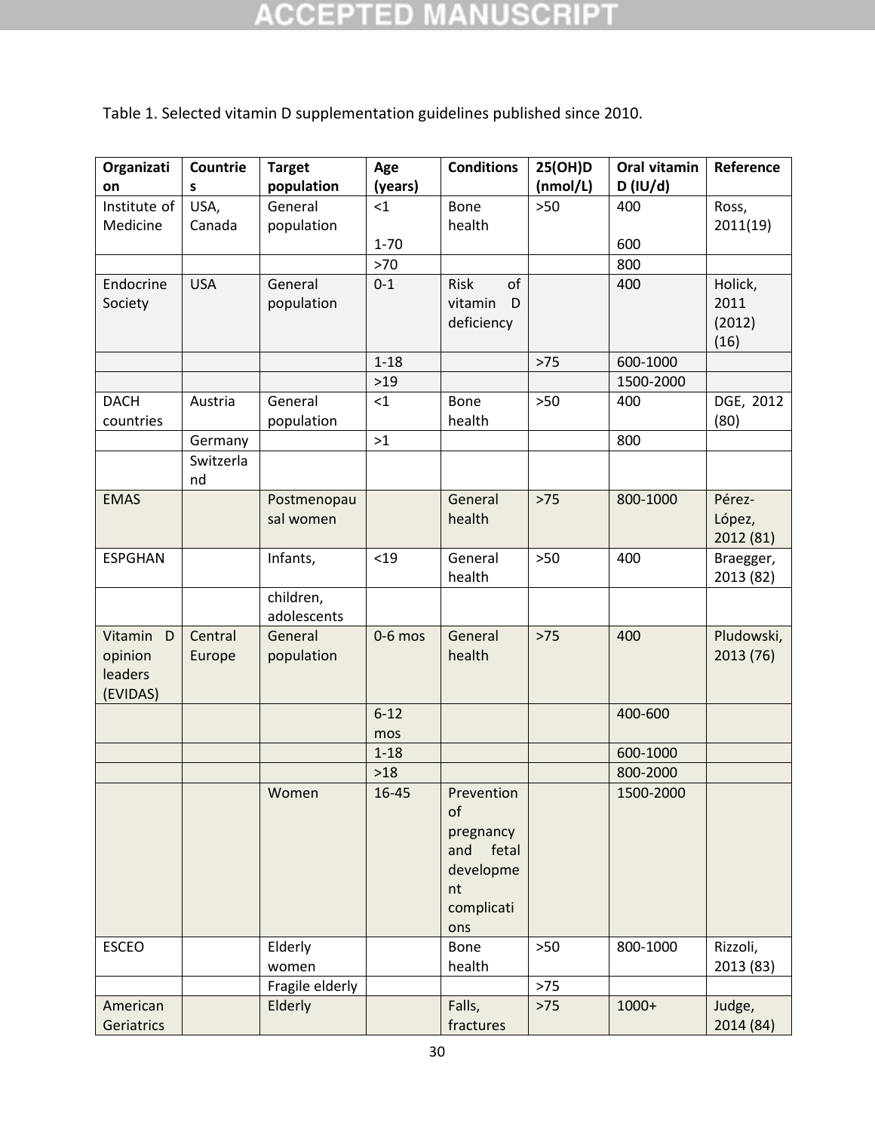# **ACCEPTED MANUSCRIPT**

Table 1. Selected vitamin D supplementation guidelines published since 2010.

| Organizati         | Countrie   | <b>Target</b>          | Age       | <b>Conditions</b> | 25(OH)D  | Oral vitamin | Reference               |
|--------------------|------------|------------------------|-----------|-------------------|----------|--------------|-------------------------|
| on                 | s          | population             | (years)   |                   | (mmol/L) | $D$ (IU/d)   |                         |
| Institute of       | USA,       | General                | <1        | Bone              | $>50$    | 400          | Ross,                   |
| Medicine           | Canada     | population             |           | health            |          |              | 2011(19)                |
|                    |            |                        | $1 - 70$  |                   |          | 600          |                         |
|                    |            |                        | $>70$     |                   |          | 800          |                         |
| Endocrine          | <b>USA</b> | General                | $0 - 1$   | of<br><b>Risk</b> |          | 400          | Holick,                 |
| Society            |            | population             |           | vitamin<br>D      |          |              | 2011                    |
|                    |            |                        |           | deficiency        |          |              | (2012)                  |
|                    |            |                        |           |                   |          |              | (16)                    |
|                    |            |                        | $1 - 18$  |                   | $>75$    | 600-1000     |                         |
|                    |            |                        | $>19$     |                   |          | 1500-2000    |                         |
| <b>DACH</b>        | Austria    | General                | <1        | Bone              | $>50$    | 400          | DGE, 2012               |
| countries          |            | population             |           | health            |          |              | (80)                    |
|                    | Germany    |                        | >1        |                   |          | 800          |                         |
|                    | Switzerla  |                        |           |                   |          |              |                         |
|                    | nd         |                        |           |                   |          |              |                         |
| <b>EMAS</b>        |            | Postmenopau            |           | General           | $>75$    | 800-1000     | Pérez-                  |
|                    |            | sal women              |           | health            |          |              | López,                  |
|                    |            |                        |           |                   |          |              | 2012 (81)               |
| <b>ESPGHAN</b>     |            | Infants,               | < 19      | General           | $>50$    | 400          | Braegger,               |
|                    |            |                        |           | health            |          |              | 2013 (82)               |
|                    |            | children,              |           |                   |          |              |                         |
| Vitamin<br>D       | Central    | adolescents<br>General |           | General           | $>75$    | 400          |                         |
|                    |            |                        | $0-6$ mos | health            |          |              | Pludowski,<br>2013 (76) |
| opinion<br>leaders | Europe     | population             |           |                   |          |              |                         |
| (EVIDAS)           |            |                        |           |                   |          |              |                         |
|                    |            |                        | $6 - 12$  |                   |          | 400-600      |                         |
|                    |            |                        | mos       |                   |          |              |                         |
|                    |            |                        | $1 - 18$  |                   |          | 600-1000     |                         |
|                    |            |                        | $>18$     |                   |          | 800-2000     |                         |
|                    |            | Women                  | 16-45     | Prevention        |          | 1500-2000    |                         |
|                    |            |                        |           | of                |          |              |                         |
|                    |            |                        |           | pregnancy         |          |              |                         |
|                    |            |                        |           | fetal<br>and      |          |              |                         |
|                    |            |                        |           | developme         |          |              |                         |
|                    |            |                        |           | nt                |          |              |                         |
|                    |            |                        |           | complicati        |          |              |                         |
|                    |            |                        |           | ons               |          |              |                         |
| <b>ESCEO</b>       |            | Elderly                |           | Bone              | $>50$    | 800-1000     | Rizzoli,                |
|                    |            | women                  |           | health            |          |              | 2013 (83)               |
|                    |            | Fragile elderly        |           |                   | $>75$    |              |                         |
| American           |            | Elderly                |           | Falls,            | $>75$    | $1000+$      | Judge,                  |
| Geriatrics         |            |                        |           | fractures         |          |              | 2014 (84)               |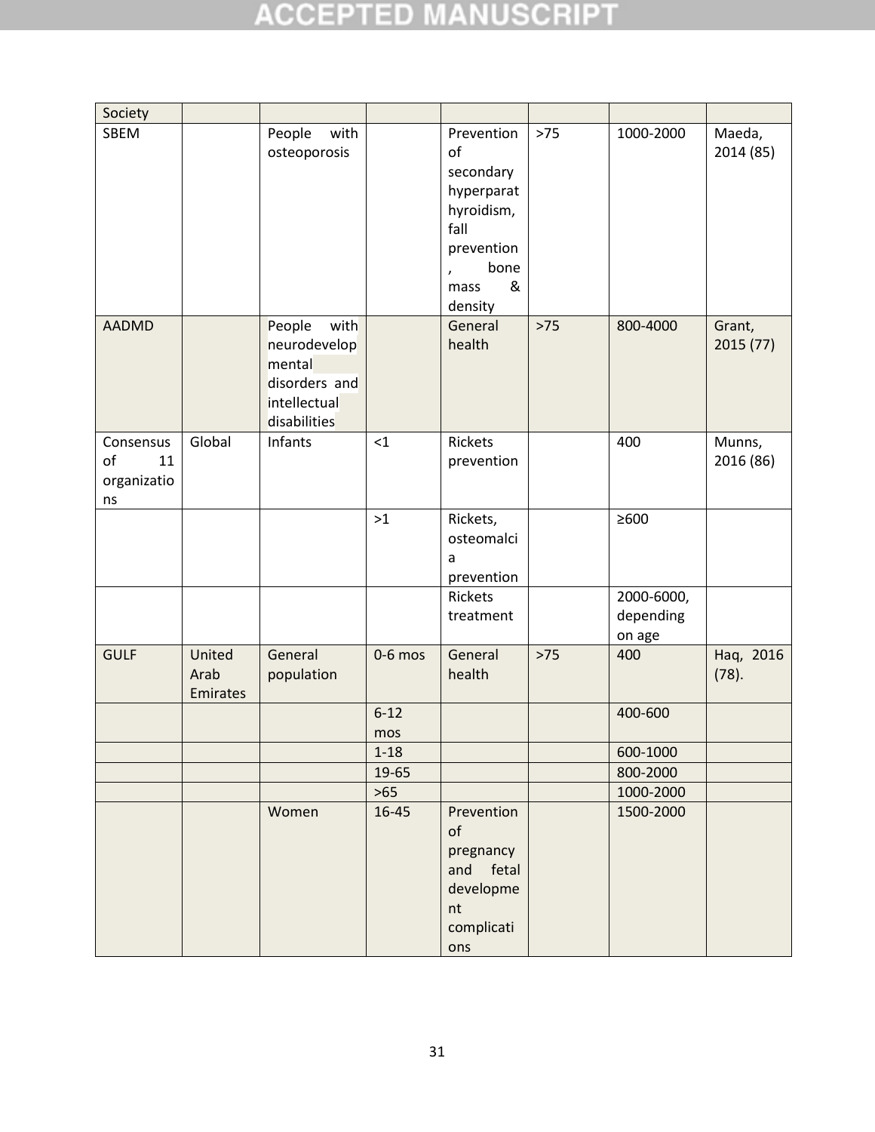# **ACCEPTED MANUSCRIPT**

| Society      |                 |                |           |                      |       |            |           |
|--------------|-----------------|----------------|-----------|----------------------|-------|------------|-----------|
| <b>SBEM</b>  |                 | with<br>People |           | Prevention           | $>75$ | 1000-2000  | Maeda,    |
|              |                 | osteoporosis   |           | of                   |       |            | 2014 (85) |
|              |                 |                |           | secondary            |       |            |           |
|              |                 |                |           | hyperparat           |       |            |           |
|              |                 |                |           | hyroidism,           |       |            |           |
|              |                 |                |           | fall                 |       |            |           |
|              |                 |                |           | prevention           |       |            |           |
|              |                 |                |           | bone<br>$\mathbf{r}$ |       |            |           |
|              |                 |                |           | &<br>mass            |       |            |           |
|              |                 |                |           | density              |       |            |           |
| <b>AADMD</b> |                 | with<br>People |           | General              | $>75$ | 800-4000   | Grant,    |
|              |                 | neurodevelop   |           | health               |       |            | 2015 (77) |
|              |                 | mental         |           |                      |       |            |           |
|              |                 | disorders and  |           |                      |       |            |           |
|              |                 | intellectual   |           |                      |       |            |           |
|              |                 | disabilities   |           |                      |       |            |           |
| Consensus    | Global          | Infants        | $<$ 1     | Rickets              |       | 400        | Munns,    |
| of<br>11     |                 |                |           | prevention           |       |            | 2016 (86) |
| organizatio  |                 |                |           |                      |       |            |           |
| ns           |                 |                |           |                      |       |            |           |
|              |                 |                | >1        | Rickets,             |       | $\geq 600$ |           |
|              |                 |                |           | osteomalci           |       |            |           |
|              |                 |                |           | a                    |       |            |           |
|              |                 |                |           | prevention           |       |            |           |
|              |                 |                |           | Rickets              |       | 2000-6000, |           |
|              |                 |                |           | treatment            |       | depending  |           |
|              |                 |                |           |                      |       | on age     |           |
| <b>GULF</b>  | United          | General        | $0-6$ mos | General              | $>75$ | 400        | Haq, 2016 |
|              | Arab            | population     |           | health               |       |            | (78).     |
|              | <b>Emirates</b> |                |           |                      |       |            |           |
|              |                 |                | $6 - 12$  |                      |       | 400-600    |           |
|              |                 |                | mos       |                      |       |            |           |
|              |                 |                | $1 - 18$  |                      |       | 600-1000   |           |
|              |                 |                | 19-65     |                      |       | 800-2000   |           |
|              |                 |                | $>65$     |                      |       | 1000-2000  |           |
|              |                 | Women          | 16-45     | Prevention           |       | 1500-2000  |           |
|              |                 |                |           | of                   |       |            |           |
|              |                 |                |           | pregnancy            |       |            |           |
|              |                 |                |           | and fetal            |       |            |           |
|              |                 |                |           | developme            |       |            |           |
|              |                 |                |           | nt                   |       |            |           |
|              |                 |                |           | complicati           |       |            |           |
|              |                 |                |           |                      |       |            |           |
|              |                 |                |           | ons                  |       |            |           |